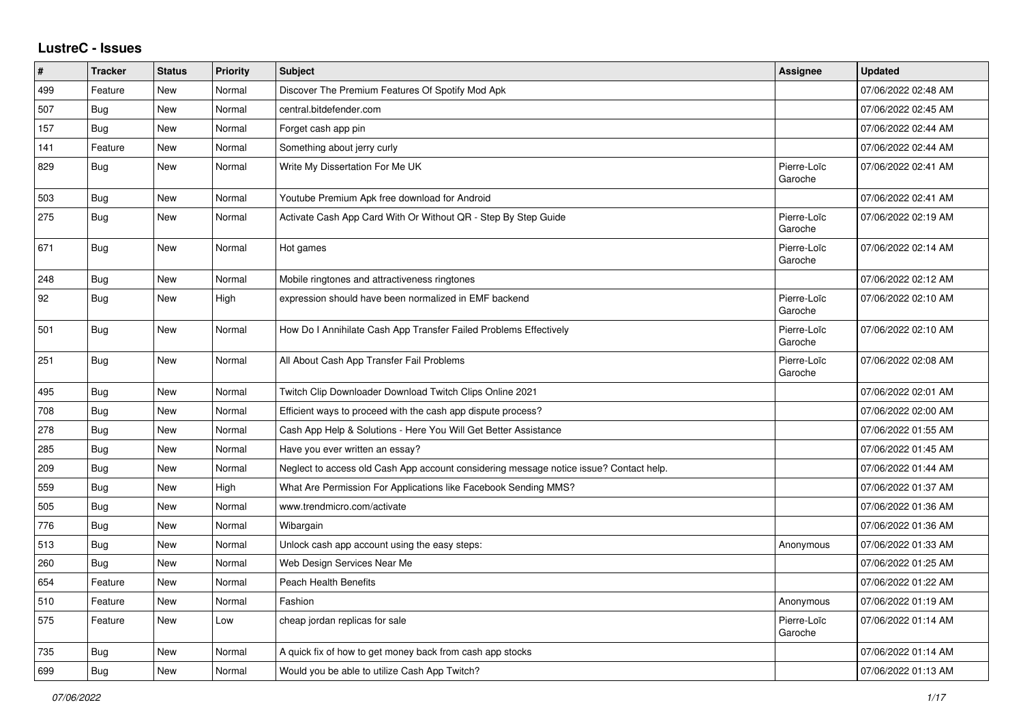## **LustreC - Issues**

| #   | <b>Tracker</b> | <b>Status</b> | <b>Priority</b> | <b>Subject</b>                                                                         | Assignee               | <b>Updated</b>      |
|-----|----------------|---------------|-----------------|----------------------------------------------------------------------------------------|------------------------|---------------------|
| 499 | Feature        | New           | Normal          | Discover The Premium Features Of Spotify Mod Apk                                       |                        | 07/06/2022 02:48 AM |
| 507 | <b>Bug</b>     | New           | Normal          | central.bitdefender.com                                                                |                        | 07/06/2022 02:45 AM |
| 157 | Bug            | New           | Normal          | Forget cash app pin                                                                    |                        | 07/06/2022 02:44 AM |
| 141 | Feature        | New           | Normal          | Something about jerry curly                                                            |                        | 07/06/2022 02:44 AM |
| 829 | Bug            | New           | Normal          | Write My Dissertation For Me UK                                                        | Pierre-Loïc<br>Garoche | 07/06/2022 02:41 AM |
| 503 | <b>Bug</b>     | New           | Normal          | Youtube Premium Apk free download for Android                                          |                        | 07/06/2022 02:41 AM |
| 275 | <b>Bug</b>     | New           | Normal          | Activate Cash App Card With Or Without QR - Step By Step Guide                         | Pierre-Loïc<br>Garoche | 07/06/2022 02:19 AM |
| 671 | Bug            | New           | Normal          | Hot games                                                                              | Pierre-Loïc<br>Garoche | 07/06/2022 02:14 AM |
| 248 | <b>Bug</b>     | <b>New</b>    | Normal          | Mobile ringtones and attractiveness ringtones                                          |                        | 07/06/2022 02:12 AM |
| 92  | Bug            | New           | High            | expression should have been normalized in EMF backend                                  | Pierre-Loïc<br>Garoche | 07/06/2022 02:10 AM |
| 501 | Bug            | New           | Normal          | How Do I Annihilate Cash App Transfer Failed Problems Effectively                      | Pierre-Loïc<br>Garoche | 07/06/2022 02:10 AM |
| 251 | Bug            | New           | Normal          | All About Cash App Transfer Fail Problems                                              | Pierre-Loïc<br>Garoche | 07/06/2022 02:08 AM |
| 495 | Bug            | New           | Normal          | Twitch Clip Downloader Download Twitch Clips Online 2021                               |                        | 07/06/2022 02:01 AM |
| 708 | <b>Bug</b>     | New           | Normal          | Efficient ways to proceed with the cash app dispute process?                           |                        | 07/06/2022 02:00 AM |
| 278 | Bug            | New           | Normal          | Cash App Help & Solutions - Here You Will Get Better Assistance                        |                        | 07/06/2022 01:55 AM |
| 285 | <b>Bug</b>     | New           | Normal          | Have you ever written an essay?                                                        |                        | 07/06/2022 01:45 AM |
| 209 | <b>Bug</b>     | New           | Normal          | Neglect to access old Cash App account considering message notice issue? Contact help. |                        | 07/06/2022 01:44 AM |
| 559 | Bug            | <b>New</b>    | High            | What Are Permission For Applications like Facebook Sending MMS?                        |                        | 07/06/2022 01:37 AM |
| 505 | Bug            | New           | Normal          | www.trendmicro.com/activate                                                            |                        | 07/06/2022 01:36 AM |
| 776 | Bug            | New           | Normal          | Wibargain                                                                              |                        | 07/06/2022 01:36 AM |
| 513 | <b>Bug</b>     | New           | Normal          | Unlock cash app account using the easy steps:                                          | Anonymous              | 07/06/2022 01:33 AM |
| 260 | <b>Bug</b>     | <b>New</b>    | Normal          | Web Design Services Near Me                                                            |                        | 07/06/2022 01:25 AM |
| 654 | Feature        | New           | Normal          | Peach Health Benefits                                                                  |                        | 07/06/2022 01:22 AM |
| 510 | Feature        | New           | Normal          | Fashion                                                                                | Anonymous              | 07/06/2022 01:19 AM |
| 575 | Feature        | New           | Low             | cheap jordan replicas for sale                                                         | Pierre-Loïc<br>Garoche | 07/06/2022 01:14 AM |
| 735 | <b>Bug</b>     | New           | Normal          | A quick fix of how to get money back from cash app stocks                              |                        | 07/06/2022 01:14 AM |
| 699 | <b>Bug</b>     | New           | Normal          | Would you be able to utilize Cash App Twitch?                                          |                        | 07/06/2022 01:13 AM |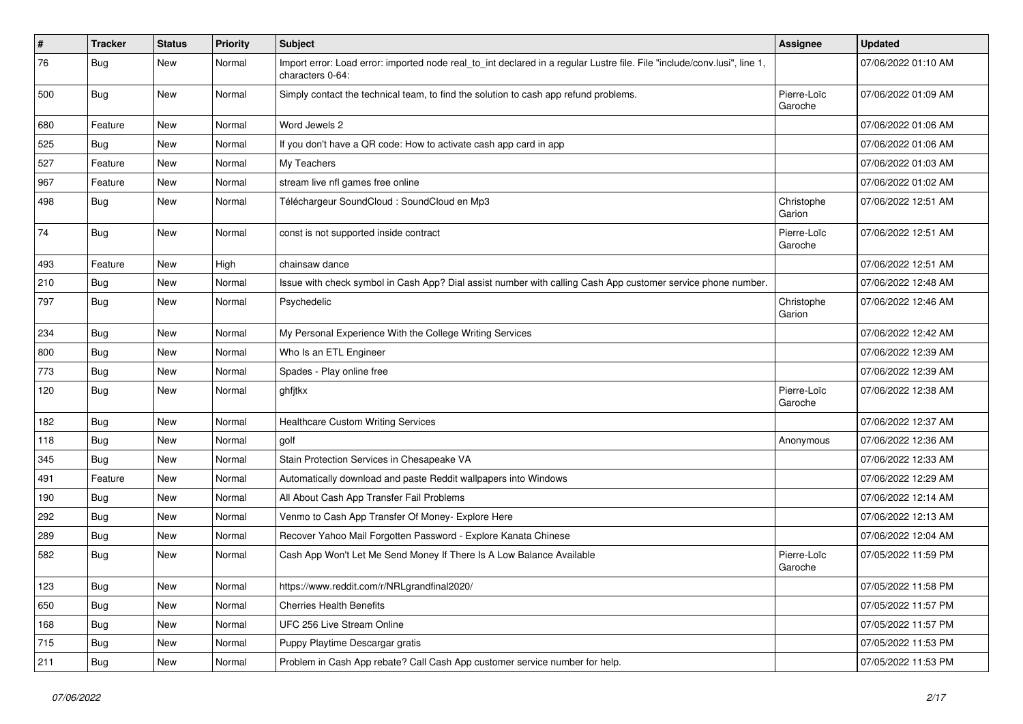| #   | <b>Tracker</b> | <b>Status</b> | <b>Priority</b> | <b>Subject</b>                                                                                                                               | <b>Assignee</b>        | <b>Updated</b>      |
|-----|----------------|---------------|-----------------|----------------------------------------------------------------------------------------------------------------------------------------------|------------------------|---------------------|
| 76  | <b>Bug</b>     | New           | Normal          | Import error: Load error: imported node real_to_int declared in a regular Lustre file. File "include/conv.lusi", line 1,<br>characters 0-64: |                        | 07/06/2022 01:10 AM |
| 500 | Bug            | New           | Normal          | Simply contact the technical team, to find the solution to cash app refund problems.                                                         | Pierre-Loïc<br>Garoche | 07/06/2022 01:09 AM |
| 680 | Feature        | <b>New</b>    | Normal          | Word Jewels 2                                                                                                                                |                        | 07/06/2022 01:06 AM |
| 525 | Bug            | New           | Normal          | If you don't have a QR code: How to activate cash app card in app                                                                            |                        | 07/06/2022 01:06 AM |
| 527 | Feature        | New           | Normal          | My Teachers                                                                                                                                  |                        | 07/06/2022 01:03 AM |
| 967 | Feature        | New           | Normal          | stream live nfl games free online                                                                                                            |                        | 07/06/2022 01:02 AM |
| 498 | <b>Bug</b>     | New           | Normal          | Téléchargeur SoundCloud : SoundCloud en Mp3                                                                                                  | Christophe<br>Garion   | 07/06/2022 12:51 AM |
| 74  | Bug            | New           | Normal          | const is not supported inside contract                                                                                                       | Pierre-Loïc<br>Garoche | 07/06/2022 12:51 AM |
| 493 | Feature        | New           | High            | chainsaw dance                                                                                                                               |                        | 07/06/2022 12:51 AM |
| 210 | <b>Bug</b>     | New           | Normal          | Issue with check symbol in Cash App? Dial assist number with calling Cash App customer service phone number.                                 |                        | 07/06/2022 12:48 AM |
| 797 | <b>Bug</b>     | New           | Normal          | Psychedelic                                                                                                                                  | Christophe<br>Garion   | 07/06/2022 12:46 AM |
| 234 | Bug            | New           | Normal          | My Personal Experience With the College Writing Services                                                                                     |                        | 07/06/2022 12:42 AM |
| 800 | Bug            | New           | Normal          | Who Is an ETL Engineer                                                                                                                       |                        | 07/06/2022 12:39 AM |
| 773 | Bug            | New           | Normal          | Spades - Play online free                                                                                                                    |                        | 07/06/2022 12:39 AM |
| 120 | <b>Bug</b>     | New           | Normal          | ghfjtkx                                                                                                                                      | Pierre-Loïc<br>Garoche | 07/06/2022 12:38 AM |
| 182 | Bug            | New           | Normal          | <b>Healthcare Custom Writing Services</b>                                                                                                    |                        | 07/06/2022 12:37 AM |
| 118 | <b>Bug</b>     | New           | Normal          | golf                                                                                                                                         | Anonymous              | 07/06/2022 12:36 AM |
| 345 | <b>Bug</b>     | New           | Normal          | Stain Protection Services in Chesapeake VA                                                                                                   |                        | 07/06/2022 12:33 AM |
| 491 | Feature        | New           | Normal          | Automatically download and paste Reddit wallpapers into Windows                                                                              |                        | 07/06/2022 12:29 AM |
| 190 | <b>Bug</b>     | New           | Normal          | All About Cash App Transfer Fail Problems                                                                                                    |                        | 07/06/2022 12:14 AM |
| 292 | <b>Bug</b>     | New           | Normal          | Venmo to Cash App Transfer Of Money- Explore Here                                                                                            |                        | 07/06/2022 12:13 AM |
| 289 | <b>Bug</b>     | New           | Normal          | Recover Yahoo Mail Forgotten Password - Explore Kanata Chinese                                                                               |                        | 07/06/2022 12:04 AM |
| 582 | <b>Bug</b>     | New           | Normal          | Cash App Won't Let Me Send Money If There Is A Low Balance Available                                                                         | Pierre-Loïc<br>Garoche | 07/05/2022 11:59 PM |
| 123 | Bug            | New           | Normal          | https://www.reddit.com/r/NRLgrandfinal2020/                                                                                                  |                        | 07/05/2022 11:58 PM |
| 650 | Bug            | New           | Normal          | <b>Cherries Health Benefits</b>                                                                                                              |                        | 07/05/2022 11:57 PM |
| 168 | <b>Bug</b>     | New           | Normal          | UFC 256 Live Stream Online                                                                                                                   |                        | 07/05/2022 11:57 PM |
| 715 | Bug            | New           | Normal          | Puppy Playtime Descargar gratis                                                                                                              |                        | 07/05/2022 11:53 PM |
| 211 | <b>Bug</b>     | New           | Normal          | Problem in Cash App rebate? Call Cash App customer service number for help.                                                                  |                        | 07/05/2022 11:53 PM |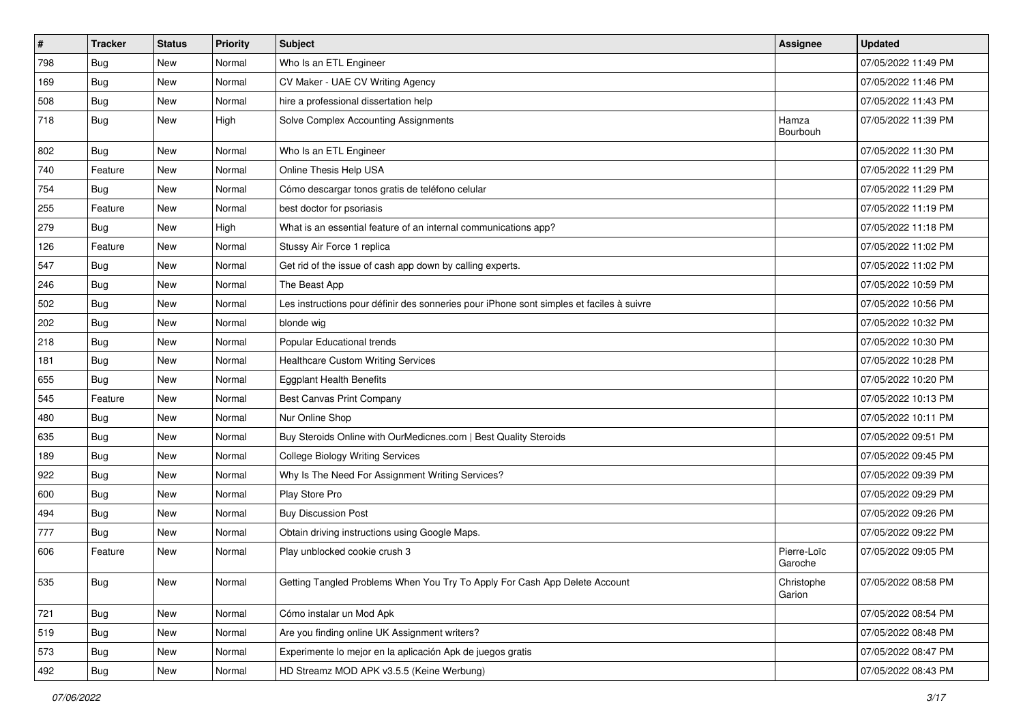| $\vert$ # | <b>Tracker</b> | <b>Status</b> | <b>Priority</b> | <b>Subject</b>                                                                           | <b>Assignee</b>        | <b>Updated</b>      |
|-----------|----------------|---------------|-----------------|------------------------------------------------------------------------------------------|------------------------|---------------------|
| 798       | <b>Bug</b>     | New           | Normal          | Who Is an ETL Engineer                                                                   |                        | 07/05/2022 11:49 PM |
| 169       | Bug            | New           | Normal          | CV Maker - UAE CV Writing Agency                                                         |                        | 07/05/2022 11:46 PM |
| 508       | <b>Bug</b>     | New           | Normal          | hire a professional dissertation help                                                    |                        | 07/05/2022 11:43 PM |
| 718       | <b>Bug</b>     | New           | High            | Solve Complex Accounting Assignments                                                     | Hamza<br>Bourbouh      | 07/05/2022 11:39 PM |
| 802       | <b>Bug</b>     | New           | Normal          | Who Is an ETL Engineer                                                                   |                        | 07/05/2022 11:30 PM |
| 740       | Feature        | New           | Normal          | Online Thesis Help USA                                                                   |                        | 07/05/2022 11:29 PM |
| 754       | Bug            | New           | Normal          | Cómo descargar tonos gratis de teléfono celular                                          |                        | 07/05/2022 11:29 PM |
| 255       | Feature        | New           | Normal          | best doctor for psoriasis                                                                |                        | 07/05/2022 11:19 PM |
| 279       | Bug            | New           | High            | What is an essential feature of an internal communications app?                          |                        | 07/05/2022 11:18 PM |
| 126       | Feature        | New           | Normal          | Stussy Air Force 1 replica                                                               |                        | 07/05/2022 11:02 PM |
| 547       | <b>Bug</b>     | New           | Normal          | Get rid of the issue of cash app down by calling experts.                                |                        | 07/05/2022 11:02 PM |
| 246       | Bug            | New           | Normal          | The Beast App                                                                            |                        | 07/05/2022 10:59 PM |
| 502       | Bug            | New           | Normal          | Les instructions pour définir des sonneries pour iPhone sont simples et faciles à suivre |                        | 07/05/2022 10:56 PM |
| 202       | Bug            | New           | Normal          | blonde wig                                                                               |                        | 07/05/2022 10:32 PM |
| 218       | Bug            | New           | Normal          | Popular Educational trends                                                               |                        | 07/05/2022 10:30 PM |
| 181       | <b>Bug</b>     | New           | Normal          | <b>Healthcare Custom Writing Services</b>                                                |                        | 07/05/2022 10:28 PM |
| 655       | Bug            | <b>New</b>    | Normal          | <b>Eggplant Health Benefits</b>                                                          |                        | 07/05/2022 10:20 PM |
| 545       | Feature        | New           | Normal          | Best Canvas Print Company                                                                |                        | 07/05/2022 10:13 PM |
| 480       | Bug            | New           | Normal          | Nur Online Shop                                                                          |                        | 07/05/2022 10:11 PM |
| 635       | <b>Bug</b>     | New           | Normal          | Buy Steroids Online with OurMedicnes.com   Best Quality Steroids                         |                        | 07/05/2022 09:51 PM |
| 189       | Bug            | New           | Normal          | <b>College Biology Writing Services</b>                                                  |                        | 07/05/2022 09:45 PM |
| 922       | Bug            | New           | Normal          | Why Is The Need For Assignment Writing Services?                                         |                        | 07/05/2022 09:39 PM |
| 600       | <b>Bug</b>     | New           | Normal          | Play Store Pro                                                                           |                        | 07/05/2022 09:29 PM |
| 494       | Bug            | New           | Normal          | <b>Buy Discussion Post</b>                                                               |                        | 07/05/2022 09:26 PM |
| 777       | Bug            | New           | Normal          | Obtain driving instructions using Google Maps.                                           |                        | 07/05/2022 09:22 PM |
| 606       | Feature        | New           | Normal          | Play unblocked cookie crush 3                                                            | Pierre-Loïc<br>Garoche | 07/05/2022 09:05 PM |
| 535       | <b>Bug</b>     | New           | Normal          | Getting Tangled Problems When You Try To Apply For Cash App Delete Account               | Christophe<br>Garion   | 07/05/2022 08:58 PM |
| 721       | <b>Bug</b>     | New           | Normal          | Cómo instalar un Mod Apk                                                                 |                        | 07/05/2022 08:54 PM |
| 519       | <b>Bug</b>     | New           | Normal          | Are you finding online UK Assignment writers?                                            |                        | 07/05/2022 08:48 PM |
| 573       | Bug            | New           | Normal          | Experimente lo mejor en la aplicación Apk de juegos gratis                               |                        | 07/05/2022 08:47 PM |
| 492       | Bug            | New           | Normal          | HD Streamz MOD APK v3.5.5 (Keine Werbung)                                                |                        | 07/05/2022 08:43 PM |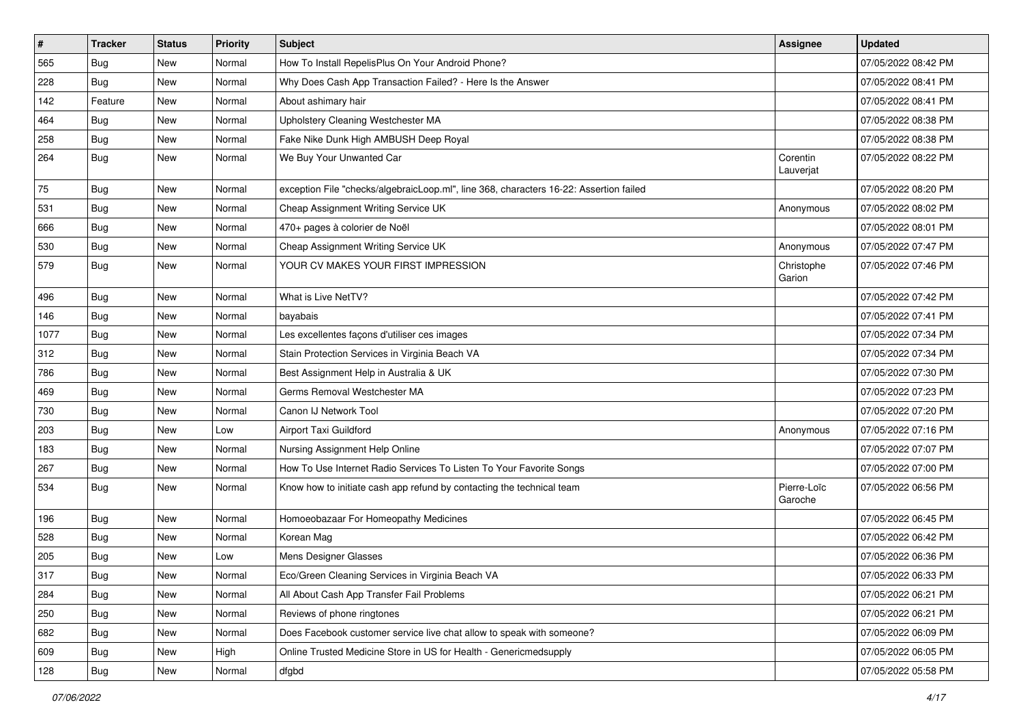| $\vert$ # | <b>Tracker</b> | <b>Status</b> | <b>Priority</b> | <b>Subject</b>                                                                         | <b>Assignee</b>        | <b>Updated</b>      |
|-----------|----------------|---------------|-----------------|----------------------------------------------------------------------------------------|------------------------|---------------------|
| 565       | <b>Bug</b>     | New           | Normal          | How To Install RepelisPlus On Your Android Phone?                                      |                        | 07/05/2022 08:42 PM |
| 228       | Bug            | New           | Normal          | Why Does Cash App Transaction Failed? - Here Is the Answer                             |                        | 07/05/2022 08:41 PM |
| 142       | Feature        | New           | Normal          | About ashimary hair                                                                    |                        | 07/05/2022 08:41 PM |
| 464       | <b>Bug</b>     | New           | Normal          | Upholstery Cleaning Westchester MA                                                     |                        | 07/05/2022 08:38 PM |
| 258       | Bug            | New           | Normal          | Fake Nike Dunk High AMBUSH Deep Royal                                                  |                        | 07/05/2022 08:38 PM |
| 264       | Bug            | New           | Normal          | We Buy Your Unwanted Car                                                               | Corentin<br>Lauverjat  | 07/05/2022 08:22 PM |
| 75        | Bug            | New           | Normal          | exception File "checks/algebraicLoop.ml", line 368, characters 16-22: Assertion failed |                        | 07/05/2022 08:20 PM |
| 531       | Bug            | New           | Normal          | Cheap Assignment Writing Service UK                                                    | Anonymous              | 07/05/2022 08:02 PM |
| 666       | Bug            | New           | Normal          | 470+ pages à colorier de Noël                                                          |                        | 07/05/2022 08:01 PM |
| 530       | Bug            | New           | Normal          | Cheap Assignment Writing Service UK                                                    | Anonymous              | 07/05/2022 07:47 PM |
| 579       | <b>Bug</b>     | New           | Normal          | YOUR CV MAKES YOUR FIRST IMPRESSION                                                    | Christophe<br>Garion   | 07/05/2022 07:46 PM |
| 496       | <b>Bug</b>     | New           | Normal          | What is Live NetTV?                                                                    |                        | 07/05/2022 07:42 PM |
| 146       | Bug            | New           | Normal          | bayabais                                                                               |                        | 07/05/2022 07:41 PM |
| 1077      | Bug            | New           | Normal          | Les excellentes façons d'utiliser ces images                                           |                        | 07/05/2022 07:34 PM |
| 312       | <b>Bug</b>     | New           | Normal          | Stain Protection Services in Virginia Beach VA                                         |                        | 07/05/2022 07:34 PM |
| 786       | Bug            | New           | Normal          | Best Assignment Help in Australia & UK                                                 |                        | 07/05/2022 07:30 PM |
| 469       | <b>Bug</b>     | New           | Normal          | Germs Removal Westchester MA                                                           |                        | 07/05/2022 07:23 PM |
| 730       | <b>Bug</b>     | New           | Normal          | Canon IJ Network Tool                                                                  |                        | 07/05/2022 07:20 PM |
| 203       | Bug            | New           | Low             | Airport Taxi Guildford                                                                 | Anonymous              | 07/05/2022 07:16 PM |
| 183       | <b>Bug</b>     | New           | Normal          | Nursing Assignment Help Online                                                         |                        | 07/05/2022 07:07 PM |
| 267       | Bug            | New           | Normal          | How To Use Internet Radio Services To Listen To Your Favorite Songs                    |                        | 07/05/2022 07:00 PM |
| 534       | Bug            | New           | Normal          | Know how to initiate cash app refund by contacting the technical team                  | Pierre-Loïc<br>Garoche | 07/05/2022 06:56 PM |
| 196       | Bug            | New           | Normal          | Homoeobazaar For Homeopathy Medicines                                                  |                        | 07/05/2022 06:45 PM |
| 528       | <b>Bug</b>     | New           | Normal          | Korean Mag                                                                             |                        | 07/05/2022 06:42 PM |
| 205       | <b>Bug</b>     | New           | Low             | Mens Designer Glasses                                                                  |                        | 07/05/2022 06:36 PM |
| 317       | <b>Bug</b>     | New           | Normal          | Eco/Green Cleaning Services in Virginia Beach VA                                       |                        | 07/05/2022 06:33 PM |
| 284       | <b>Bug</b>     | New           | Normal          | All About Cash App Transfer Fail Problems                                              |                        | 07/05/2022 06:21 PM |
| 250       | <b>Bug</b>     | New           | Normal          | Reviews of phone ringtones                                                             |                        | 07/05/2022 06:21 PM |
| 682       | Bug            | New           | Normal          | Does Facebook customer service live chat allow to speak with someone?                  |                        | 07/05/2022 06:09 PM |
| 609       | Bug            | New           | High            | Online Trusted Medicine Store in US for Health - Genericmedsupply                      |                        | 07/05/2022 06:05 PM |
| 128       | Bug            | New           | Normal          | dfgbd                                                                                  |                        | 07/05/2022 05:58 PM |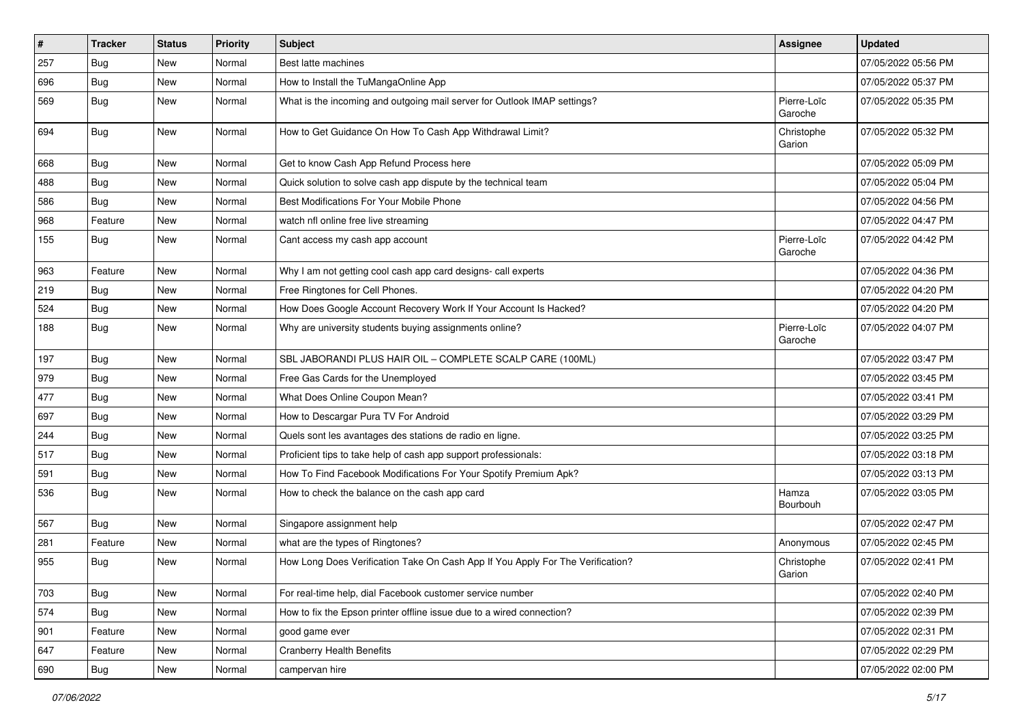| $\pmb{\#}$ | <b>Tracker</b> | <b>Status</b> | Priority | Subject                                                                        | <b>Assignee</b>        | <b>Updated</b>      |
|------------|----------------|---------------|----------|--------------------------------------------------------------------------------|------------------------|---------------------|
| 257        | <b>Bug</b>     | New           | Normal   | Best latte machines                                                            |                        | 07/05/2022 05:56 PM |
| 696        | <b>Bug</b>     | New           | Normal   | How to Install the TuMangaOnline App                                           |                        | 07/05/2022 05:37 PM |
| 569        | <b>Bug</b>     | New           | Normal   | What is the incoming and outgoing mail server for Outlook IMAP settings?       | Pierre-Loïc<br>Garoche | 07/05/2022 05:35 PM |
| 694        | <b>Bug</b>     | New           | Normal   | How to Get Guidance On How To Cash App Withdrawal Limit?                       | Christophe<br>Garion   | 07/05/2022 05:32 PM |
| 668        | Bug            | New           | Normal   | Get to know Cash App Refund Process here                                       |                        | 07/05/2022 05:09 PM |
| 488        | Bug            | New           | Normal   | Quick solution to solve cash app dispute by the technical team                 |                        | 07/05/2022 05:04 PM |
| 586        | Bug            | New           | Normal   | Best Modifications For Your Mobile Phone                                       |                        | 07/05/2022 04:56 PM |
| 968        | Feature        | New           | Normal   | watch nfl online free live streaming                                           |                        | 07/05/2022 04:47 PM |
| 155        | Bug            | New           | Normal   | Cant access my cash app account                                                | Pierre-Loïc<br>Garoche | 07/05/2022 04:42 PM |
| 963        | Feature        | New           | Normal   | Why I am not getting cool cash app card designs- call experts                  |                        | 07/05/2022 04:36 PM |
| 219        | <b>Bug</b>     | New           | Normal   | Free Ringtones for Cell Phones.                                                |                        | 07/05/2022 04:20 PM |
| 524        | Bug            | New           | Normal   | How Does Google Account Recovery Work If Your Account Is Hacked?               |                        | 07/05/2022 04:20 PM |
| 188        | <b>Bug</b>     | New           | Normal   | Why are university students buying assignments online?                         | Pierre-Loïc<br>Garoche | 07/05/2022 04:07 PM |
| 197        | <b>Bug</b>     | New           | Normal   | SBL JABORANDI PLUS HAIR OIL - COMPLETE SCALP CARE (100ML)                      |                        | 07/05/2022 03:47 PM |
| 979        | Bug            | New           | Normal   | Free Gas Cards for the Unemployed                                              |                        | 07/05/2022 03:45 PM |
| 477        | <b>Bug</b>     | New           | Normal   | What Does Online Coupon Mean?                                                  |                        | 07/05/2022 03:41 PM |
| 697        | Bug            | New           | Normal   | How to Descargar Pura TV For Android                                           |                        | 07/05/2022 03:29 PM |
| 244        | <b>Bug</b>     | New           | Normal   | Quels sont les avantages des stations de radio en ligne.                       |                        | 07/05/2022 03:25 PM |
| 517        | <b>Bug</b>     | New           | Normal   | Proficient tips to take help of cash app support professionals:                |                        | 07/05/2022 03:18 PM |
| 591        | Bug            | New           | Normal   | How To Find Facebook Modifications For Your Spotify Premium Apk?               |                        | 07/05/2022 03:13 PM |
| 536        | Bug            | New           | Normal   | How to check the balance on the cash app card                                  | Hamza<br>Bourbouh      | 07/05/2022 03:05 PM |
| 567        | Bug            | New           | Normal   | Singapore assignment help                                                      |                        | 07/05/2022 02:47 PM |
| 281        | Feature        | New           | Normal   | what are the types of Ringtones?                                               | Anonymous              | 07/05/2022 02:45 PM |
| 955        | <b>Bug</b>     | New           | Normal   | How Long Does Verification Take On Cash App If You Apply For The Verification? | Christophe<br>Garion   | 07/05/2022 02:41 PM |
| 703        | <b>Bug</b>     | New           | Normal   | For real-time help, dial Facebook customer service number                      |                        | 07/05/2022 02:40 PM |
| 574        | Bug            | New           | Normal   | How to fix the Epson printer offline issue due to a wired connection?          |                        | 07/05/2022 02:39 PM |
| 901        | Feature        | New           | Normal   | good game ever                                                                 |                        | 07/05/2022 02:31 PM |
| 647        | Feature        | New           | Normal   | <b>Cranberry Health Benefits</b>                                               |                        | 07/05/2022 02:29 PM |
| 690        | <b>Bug</b>     | New           | Normal   | campervan hire                                                                 |                        | 07/05/2022 02:00 PM |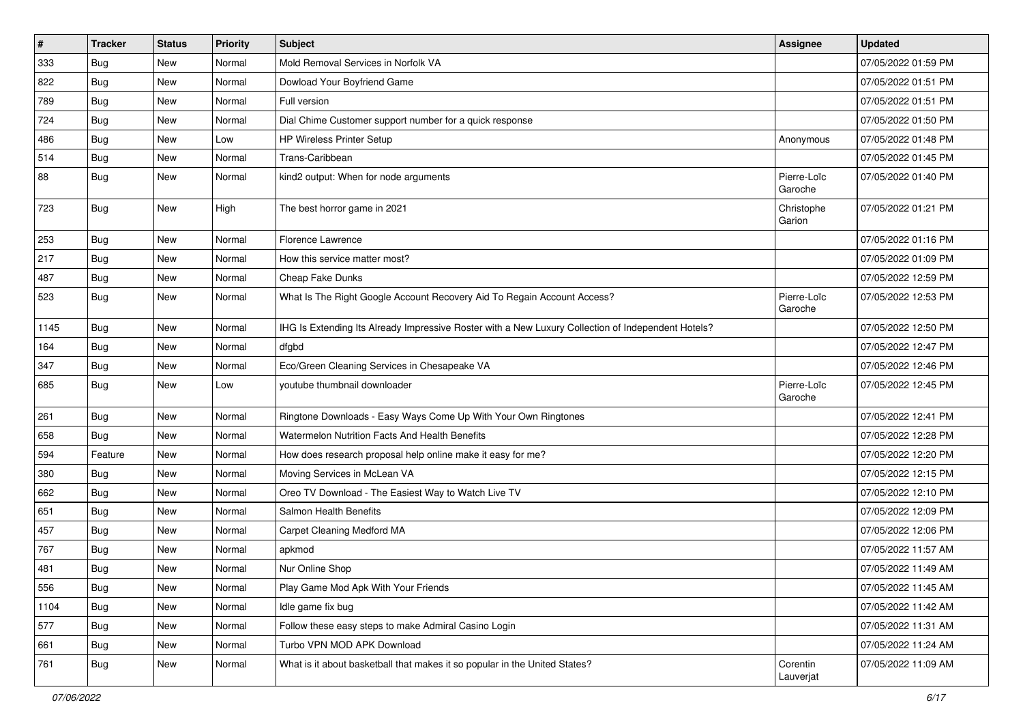| $\vert$ # | <b>Tracker</b> | <b>Status</b> | <b>Priority</b> | <b>Subject</b>                                                                                     | <b>Assignee</b>        | <b>Updated</b>      |
|-----------|----------------|---------------|-----------------|----------------------------------------------------------------------------------------------------|------------------------|---------------------|
| 333       | <b>Bug</b>     | New           | Normal          | Mold Removal Services in Norfolk VA                                                                |                        | 07/05/2022 01:59 PM |
| 822       | Bug            | <b>New</b>    | Normal          | Dowload Your Boyfriend Game                                                                        |                        | 07/05/2022 01:51 PM |
| 789       | <b>Bug</b>     | New           | Normal          | Full version                                                                                       |                        | 07/05/2022 01:51 PM |
| 724       | <b>Bug</b>     | New           | Normal          | Dial Chime Customer support number for a quick response                                            |                        | 07/05/2022 01:50 PM |
| 486       | Bug            | New           | Low             | HP Wireless Printer Setup                                                                          | Anonymous              | 07/05/2022 01:48 PM |
| 514       | <b>Bug</b>     | New           | Normal          | Trans-Caribbean                                                                                    |                        | 07/05/2022 01:45 PM |
| 88        | <b>Bug</b>     | New           | Normal          | kind2 output: When for node arguments                                                              | Pierre-Loïc<br>Garoche | 07/05/2022 01:40 PM |
| 723       | <b>Bug</b>     | New           | High            | The best horror game in 2021                                                                       | Christophe<br>Garion   | 07/05/2022 01:21 PM |
| 253       | Bug            | New           | Normal          | Florence Lawrence                                                                                  |                        | 07/05/2022 01:16 PM |
| 217       | Bug            | New           | Normal          | How this service matter most?                                                                      |                        | 07/05/2022 01:09 PM |
| 487       | Bug            | New           | Normal          | Cheap Fake Dunks                                                                                   |                        | 07/05/2022 12:59 PM |
| 523       | Bug            | New           | Normal          | What Is The Right Google Account Recovery Aid To Regain Account Access?                            | Pierre-Loïc<br>Garoche | 07/05/2022 12:53 PM |
| 1145      | Bug            | New           | Normal          | IHG Is Extending Its Already Impressive Roster with a New Luxury Collection of Independent Hotels? |                        | 07/05/2022 12:50 PM |
| 164       | Bug            | New           | Normal          | dfgbd                                                                                              |                        | 07/05/2022 12:47 PM |
| 347       | Bug            | New           | Normal          | Eco/Green Cleaning Services in Chesapeake VA                                                       |                        | 07/05/2022 12:46 PM |
| 685       | Bug            | New           | Low             | voutube thumbnail downloader                                                                       | Pierre-Loïc<br>Garoche | 07/05/2022 12:45 PM |
| 261       | Bug            | New           | Normal          | Ringtone Downloads - Easy Ways Come Up With Your Own Ringtones                                     |                        | 07/05/2022 12:41 PM |
| 658       | Bug            | New           | Normal          | <b>Watermelon Nutrition Facts And Health Benefits</b>                                              |                        | 07/05/2022 12:28 PM |
| 594       | Feature        | New           | Normal          | How does research proposal help online make it easy for me?                                        |                        | 07/05/2022 12:20 PM |
| 380       | Bug            | New           | Normal          | Moving Services in McLean VA                                                                       |                        | 07/05/2022 12:15 PM |
| 662       | <b>Bug</b>     | New           | Normal          | Oreo TV Download - The Easiest Way to Watch Live TV                                                |                        | 07/05/2022 12:10 PM |
| 651       | Bug            | New           | Normal          | Salmon Health Benefits                                                                             |                        | 07/05/2022 12:09 PM |
| 457       | Bug            | New           | Normal          | Carpet Cleaning Medford MA                                                                         |                        | 07/05/2022 12:06 PM |
| 767       | <b>Bug</b>     | New           | Normal          | apkmod                                                                                             |                        | 07/05/2022 11:57 AM |
| 481       | <b>Bug</b>     | New           | Normal          | Nur Online Shop                                                                                    |                        | 07/05/2022 11:49 AM |
| 556       | Bug            | New           | Normal          | Play Game Mod Apk With Your Friends                                                                |                        | 07/05/2022 11:45 AM |
| 1104      | <b>Bug</b>     | New           | Normal          | Idle game fix bug                                                                                  |                        | 07/05/2022 11:42 AM |
| 577       | <b>Bug</b>     | New           | Normal          | Follow these easy steps to make Admiral Casino Login                                               |                        | 07/05/2022 11:31 AM |
| 661       | <b>Bug</b>     | New           | Normal          | Turbo VPN MOD APK Download                                                                         |                        | 07/05/2022 11:24 AM |
| 761       | <b>Bug</b>     | New           | Normal          | What is it about basketball that makes it so popular in the United States?                         | Corentin<br>Lauverjat  | 07/05/2022 11:09 AM |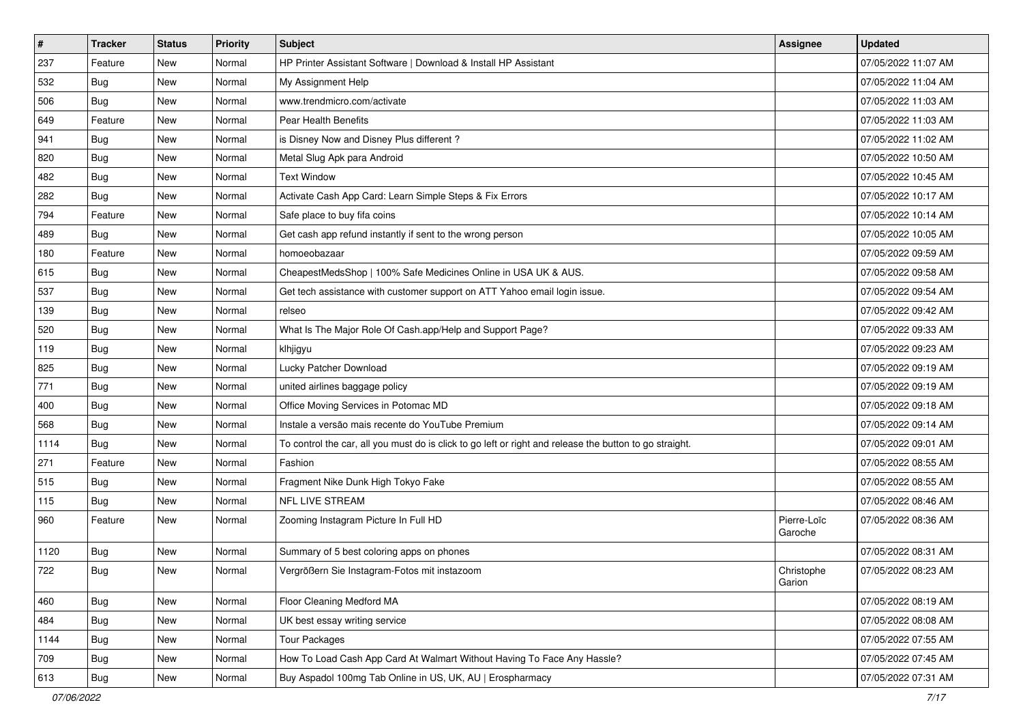| $\sharp$ | <b>Tracker</b> | <b>Status</b> | <b>Priority</b> | <b>Subject</b>                                                                                          | Assignee               | <b>Updated</b>      |
|----------|----------------|---------------|-----------------|---------------------------------------------------------------------------------------------------------|------------------------|---------------------|
| 237      | Feature        | New           | Normal          | HP Printer Assistant Software   Download & Install HP Assistant                                         |                        | 07/05/2022 11:07 AM |
| 532      | <b>Bug</b>     | New           | Normal          | My Assignment Help                                                                                      |                        | 07/05/2022 11:04 AM |
| 506      | Bug            | New           | Normal          | www.trendmicro.com/activate                                                                             |                        | 07/05/2022 11:03 AM |
| 649      | Feature        | New           | Normal          | Pear Health Benefits                                                                                    |                        | 07/05/2022 11:03 AM |
| 941      | Bug            | New           | Normal          | is Disney Now and Disney Plus different?                                                                |                        | 07/05/2022 11:02 AM |
| 820      | <b>Bug</b>     | New           | Normal          | Metal Slug Apk para Android                                                                             |                        | 07/05/2022 10:50 AM |
| 482      | Bug            | New           | Normal          | <b>Text Window</b>                                                                                      |                        | 07/05/2022 10:45 AM |
| 282      | <b>Bug</b>     | New           | Normal          | Activate Cash App Card: Learn Simple Steps & Fix Errors                                                 |                        | 07/05/2022 10:17 AM |
| 794      | Feature        | New           | Normal          | Safe place to buy fifa coins                                                                            |                        | 07/05/2022 10:14 AM |
| 489      | <b>Bug</b>     | New           | Normal          | Get cash app refund instantly if sent to the wrong person                                               |                        | 07/05/2022 10:05 AM |
| 180      | Feature        | New           | Normal          | homoeobazaar                                                                                            |                        | 07/05/2022 09:59 AM |
| 615      | Bug            | New           | Normal          | CheapestMedsShop   100% Safe Medicines Online in USA UK & AUS.                                          |                        | 07/05/2022 09:58 AM |
| 537      | Bug            | New           | Normal          | Get tech assistance with customer support on ATT Yahoo email login issue.                               |                        | 07/05/2022 09:54 AM |
| 139      | <b>Bug</b>     | New           | Normal          | relseo                                                                                                  |                        | 07/05/2022 09:42 AM |
| 520      | <b>Bug</b>     | New           | Normal          | What Is The Major Role Of Cash.app/Help and Support Page?                                               |                        | 07/05/2022 09:33 AM |
| 119      | Bug            | New           | Normal          | klhjigyu                                                                                                |                        | 07/05/2022 09:23 AM |
| 825      | <b>Bug</b>     | New           | Normal          | Lucky Patcher Download                                                                                  |                        | 07/05/2022 09:19 AM |
| 771      | Bug            | New           | Normal          | united airlines baggage policy                                                                          |                        | 07/05/2022 09:19 AM |
| 400      | Bug            | New           | Normal          | Office Moving Services in Potomac MD                                                                    |                        | 07/05/2022 09:18 AM |
| 568      | <b>Bug</b>     | New           | Normal          | Instale a versão mais recente do YouTube Premium                                                        |                        | 07/05/2022 09:14 AM |
| 1114     | Bug            | New           | Normal          | To control the car, all you must do is click to go left or right and release the button to go straight. |                        | 07/05/2022 09:01 AM |
| 271      | Feature        | New           | Normal          | Fashion                                                                                                 |                        | 07/05/2022 08:55 AM |
| 515      | Bug            | New           | Normal          | Fragment Nike Dunk High Tokyo Fake                                                                      |                        | 07/05/2022 08:55 AM |
| 115      | <b>Bug</b>     | New           | Normal          | <b>NFL LIVE STREAM</b>                                                                                  |                        | 07/05/2022 08:46 AM |
| 960      | Feature        | New           | Normal          | Zooming Instagram Picture In Full HD                                                                    | Pierre-Loïc<br>Garoche | 07/05/2022 08:36 AM |
| 1120     | Bug            | New           | Normal          | Summary of 5 best coloring apps on phones                                                               |                        | 07/05/2022 08:31 AM |
| 722      | <b>Bug</b>     | New           | Normal          | Vergrößern Sie Instagram-Fotos mit instazoom                                                            | Christophe<br>Garion   | 07/05/2022 08:23 AM |
| 460      | Bug            | New           | Normal          | Floor Cleaning Medford MA                                                                               |                        | 07/05/2022 08:19 AM |
| 484      | Bug            | New           | Normal          | UK best essay writing service                                                                           |                        | 07/05/2022 08:08 AM |
| 1144     | <b>Bug</b>     | New           | Normal          | <b>Tour Packages</b>                                                                                    |                        | 07/05/2022 07:55 AM |
| 709      | Bug            | New           | Normal          | How To Load Cash App Card At Walmart Without Having To Face Any Hassle?                                 |                        | 07/05/2022 07:45 AM |
| 613      | <b>Bug</b>     | New           | Normal          | Buy Aspadol 100mg Tab Online in US, UK, AU   Erospharmacy                                               |                        | 07/05/2022 07:31 AM |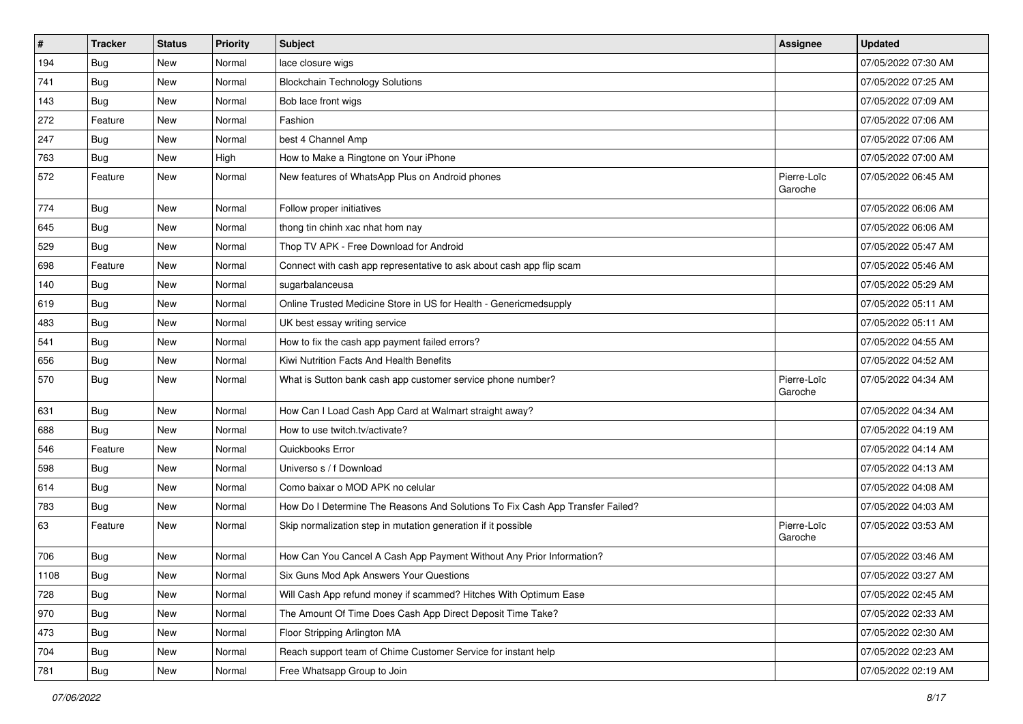| $\vert$ # | <b>Tracker</b> | <b>Status</b> | <b>Priority</b> | <b>Subject</b>                                                                | <b>Assignee</b>        | <b>Updated</b>      |
|-----------|----------------|---------------|-----------------|-------------------------------------------------------------------------------|------------------------|---------------------|
| 194       | <b>Bug</b>     | New           | Normal          | lace closure wigs                                                             |                        | 07/05/2022 07:30 AM |
| 741       | <b>Bug</b>     | New           | Normal          | <b>Blockchain Technology Solutions</b>                                        |                        | 07/05/2022 07:25 AM |
| 143       | <b>Bug</b>     | New           | Normal          | Bob lace front wigs                                                           |                        | 07/05/2022 07:09 AM |
| 272       | Feature        | New           | Normal          | Fashion                                                                       |                        | 07/05/2022 07:06 AM |
| 247       | Bug            | New           | Normal          | best 4 Channel Amp                                                            |                        | 07/05/2022 07:06 AM |
| 763       | <b>Bug</b>     | New           | High            | How to Make a Ringtone on Your iPhone                                         |                        | 07/05/2022 07:00 AM |
| 572       | Feature        | New           | Normal          | New features of WhatsApp Plus on Android phones                               | Pierre-Loïc<br>Garoche | 07/05/2022 06:45 AM |
| 774       | Bug            | New           | Normal          | Follow proper initiatives                                                     |                        | 07/05/2022 06:06 AM |
| 645       | Bug            | New           | Normal          | thong tin chinh xac nhat hom nay                                              |                        | 07/05/2022 06:06 AM |
| 529       | Bug            | New           | Normal          | Thop TV APK - Free Download for Android                                       |                        | 07/05/2022 05:47 AM |
| 698       | Feature        | New           | Normal          | Connect with cash app representative to ask about cash app flip scam          |                        | 07/05/2022 05:46 AM |
| 140       | Bug            | New           | Normal          | sugarbalanceusa                                                               |                        | 07/05/2022 05:29 AM |
| 619       | Bug            | New           | Normal          | Online Trusted Medicine Store in US for Health - Genericmedsupply             |                        | 07/05/2022 05:11 AM |
| 483       | <b>Bug</b>     | New           | Normal          | UK best essay writing service                                                 |                        | 07/05/2022 05:11 AM |
| 541       | Bug            | New           | Normal          | How to fix the cash app payment failed errors?                                |                        | 07/05/2022 04:55 AM |
| 656       | <b>Bug</b>     | New           | Normal          | Kiwi Nutrition Facts And Health Benefits                                      |                        | 07/05/2022 04:52 AM |
| 570       | Bug            | New           | Normal          | What is Sutton bank cash app customer service phone number?                   | Pierre-Loïc<br>Garoche | 07/05/2022 04:34 AM |
| 631       | <b>Bug</b>     | New           | Normal          | How Can I Load Cash App Card at Walmart straight away?                        |                        | 07/05/2022 04:34 AM |
| 688       | Bug            | New           | Normal          | How to use twitch.tv/activate?                                                |                        | 07/05/2022 04:19 AM |
| 546       | Feature        | New           | Normal          | Quickbooks Error                                                              |                        | 07/05/2022 04:14 AM |
| 598       | <b>Bug</b>     | New           | Normal          | Universo s / f Download                                                       |                        | 07/05/2022 04:13 AM |
| 614       | <b>Bug</b>     | New           | Normal          | Como baixar o MOD APK no celular                                              |                        | 07/05/2022 04:08 AM |
| 783       | <b>Bug</b>     | New           | Normal          | How Do I Determine The Reasons And Solutions To Fix Cash App Transfer Failed? |                        | 07/05/2022 04:03 AM |
| 63        | Feature        | New           | Normal          | Skip normalization step in mutation generation if it possible                 | Pierre-Loïc<br>Garoche | 07/05/2022 03:53 AM |
| 706       | <b>Bug</b>     | New           | Normal          | How Can You Cancel A Cash App Payment Without Any Prior Information?          |                        | 07/05/2022 03:46 AM |
| 1108      | Bug            | New           | Normal          | Six Guns Mod Apk Answers Your Questions                                       |                        | 07/05/2022 03:27 AM |
| 728       | Bug            | New           | Normal          | Will Cash App refund money if scammed? Hitches With Optimum Ease              |                        | 07/05/2022 02:45 AM |
| 970       | Bug            | New           | Normal          | The Amount Of Time Does Cash App Direct Deposit Time Take?                    |                        | 07/05/2022 02:33 AM |
| 473       | Bug            | New           | Normal          | Floor Stripping Arlington MA                                                  |                        | 07/05/2022 02:30 AM |
| 704       | Bug            | New           | Normal          | Reach support team of Chime Customer Service for instant help                 |                        | 07/05/2022 02:23 AM |
| 781       | Bug            | New           | Normal          | Free Whatsapp Group to Join                                                   |                        | 07/05/2022 02:19 AM |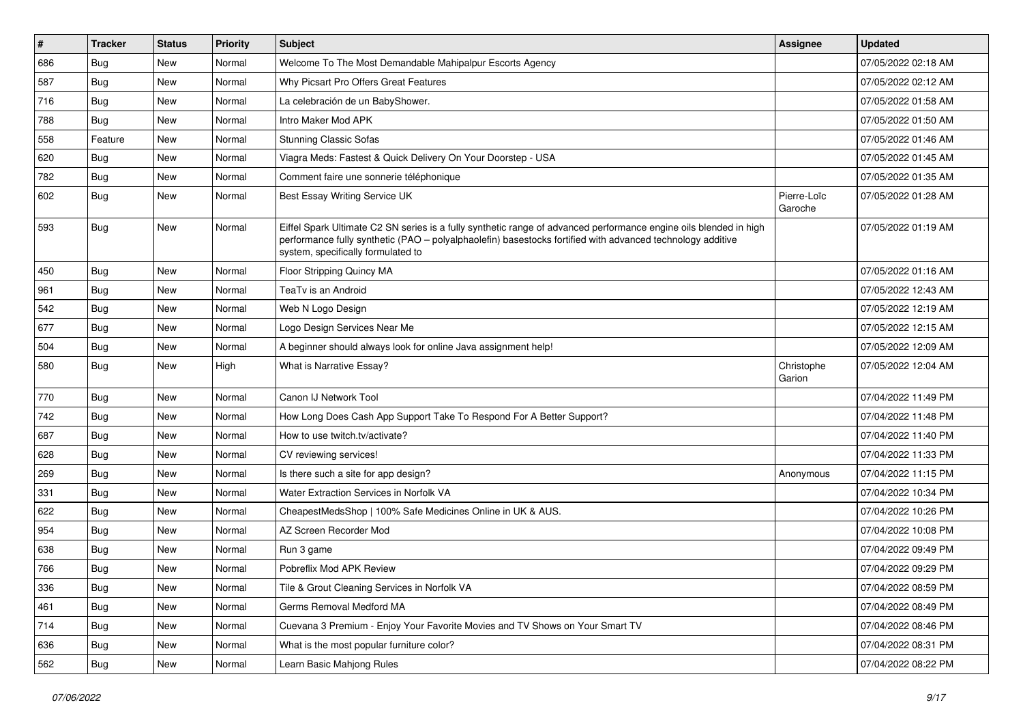| $\vert$ # | <b>Tracker</b> | <b>Status</b> | <b>Priority</b> | Subject                                                                                                                                                                                                                                                               | <b>Assignee</b>        | <b>Updated</b>      |
|-----------|----------------|---------------|-----------------|-----------------------------------------------------------------------------------------------------------------------------------------------------------------------------------------------------------------------------------------------------------------------|------------------------|---------------------|
| 686       | <b>Bug</b>     | New           | Normal          | Welcome To The Most Demandable Mahipalpur Escorts Agency                                                                                                                                                                                                              |                        | 07/05/2022 02:18 AM |
| 587       | <b>Bug</b>     | New           | Normal          | Why Picsart Pro Offers Great Features                                                                                                                                                                                                                                 |                        | 07/05/2022 02:12 AM |
| 716       | <b>Bug</b>     | New           | Normal          | La celebración de un BabyShower.                                                                                                                                                                                                                                      |                        | 07/05/2022 01:58 AM |
| 788       | <b>Bug</b>     | <b>New</b>    | Normal          | Intro Maker Mod APK                                                                                                                                                                                                                                                   |                        | 07/05/2022 01:50 AM |
| 558       | Feature        | New           | Normal          | <b>Stunning Classic Sofas</b>                                                                                                                                                                                                                                         |                        | 07/05/2022 01:46 AM |
| 620       | <b>Bug</b>     | New           | Normal          | Viagra Meds: Fastest & Quick Delivery On Your Doorstep - USA                                                                                                                                                                                                          |                        | 07/05/2022 01:45 AM |
| 782       | Bug            | New           | Normal          | Comment faire une sonnerie téléphonique                                                                                                                                                                                                                               |                        | 07/05/2022 01:35 AM |
| 602       | Bug            | New           | Normal          | Best Essay Writing Service UK                                                                                                                                                                                                                                         | Pierre-Loïc<br>Garoche | 07/05/2022 01:28 AM |
| 593       | Bug            | New           | Normal          | Eiffel Spark Ultimate C2 SN series is a fully synthetic range of advanced performance engine oils blended in high<br>performance fully synthetic (PAO - polyalphaolefin) basestocks fortified with advanced technology additive<br>system, specifically formulated to |                        | 07/05/2022 01:19 AM |
| 450       | Bug            | New           | Normal          | Floor Stripping Quincy MA                                                                                                                                                                                                                                             |                        | 07/05/2022 01:16 AM |
| 961       | Bug            | New           | Normal          | TeaTv is an Android                                                                                                                                                                                                                                                   |                        | 07/05/2022 12:43 AM |
| 542       | <b>Bug</b>     | New           | Normal          | Web N Logo Design                                                                                                                                                                                                                                                     |                        | 07/05/2022 12:19 AM |
| 677       | Bug            | New           | Normal          | Logo Design Services Near Me                                                                                                                                                                                                                                          |                        | 07/05/2022 12:15 AM |
| 504       | Bug            | New           | Normal          | A beginner should always look for online Java assignment help!                                                                                                                                                                                                        |                        | 07/05/2022 12:09 AM |
| 580       | Bug            | <b>New</b>    | High            | What is Narrative Essay?                                                                                                                                                                                                                                              | Christophe<br>Garion   | 07/05/2022 12:04 AM |
| 770       | <b>Bug</b>     | New           | Normal          | Canon IJ Network Tool                                                                                                                                                                                                                                                 |                        | 07/04/2022 11:49 PM |
| 742       | Bug            | New           | Normal          | How Long Does Cash App Support Take To Respond For A Better Support?                                                                                                                                                                                                  |                        | 07/04/2022 11:48 PM |
| 687       | <b>Bug</b>     | New           | Normal          | How to use twitch.tv/activate?                                                                                                                                                                                                                                        |                        | 07/04/2022 11:40 PM |
| 628       | Bug            | New           | Normal          | CV reviewing services!                                                                                                                                                                                                                                                |                        | 07/04/2022 11:33 PM |
| 269       | Bug            | New           | Normal          | Is there such a site for app design?                                                                                                                                                                                                                                  | Anonymous              | 07/04/2022 11:15 PM |
| 331       | Bug            | New           | Normal          | Water Extraction Services in Norfolk VA                                                                                                                                                                                                                               |                        | 07/04/2022 10:34 PM |
| 622       | Bug            | New           | Normal          | CheapestMedsShop   100% Safe Medicines Online in UK & AUS.                                                                                                                                                                                                            |                        | 07/04/2022 10:26 PM |
| 954       | <b>Bug</b>     | New           | Normal          | AZ Screen Recorder Mod                                                                                                                                                                                                                                                |                        | 07/04/2022 10:08 PM |
| 638       | <b>Bug</b>     | New           | Normal          | Run 3 game                                                                                                                                                                                                                                                            |                        | 07/04/2022 09:49 PM |
| 766       | <b>Bug</b>     | New           | Normal          | Pobreflix Mod APK Review                                                                                                                                                                                                                                              |                        | 07/04/2022 09:29 PM |
| 336       | <b>Bug</b>     | New           | Normal          | Tile & Grout Cleaning Services in Norfolk VA                                                                                                                                                                                                                          |                        | 07/04/2022 08:59 PM |
| 461       | Bug            | New           | Normal          | Germs Removal Medford MA                                                                                                                                                                                                                                              |                        | 07/04/2022 08:49 PM |
| 714       | Bug            | New           | Normal          | Cuevana 3 Premium - Enjoy Your Favorite Movies and TV Shows on Your Smart TV                                                                                                                                                                                          |                        | 07/04/2022 08:46 PM |
| 636       | <b>Bug</b>     | New           | Normal          | What is the most popular furniture color?                                                                                                                                                                                                                             |                        | 07/04/2022 08:31 PM |
| 562       | Bug            | New           | Normal          | Learn Basic Mahjong Rules                                                                                                                                                                                                                                             |                        | 07/04/2022 08:22 PM |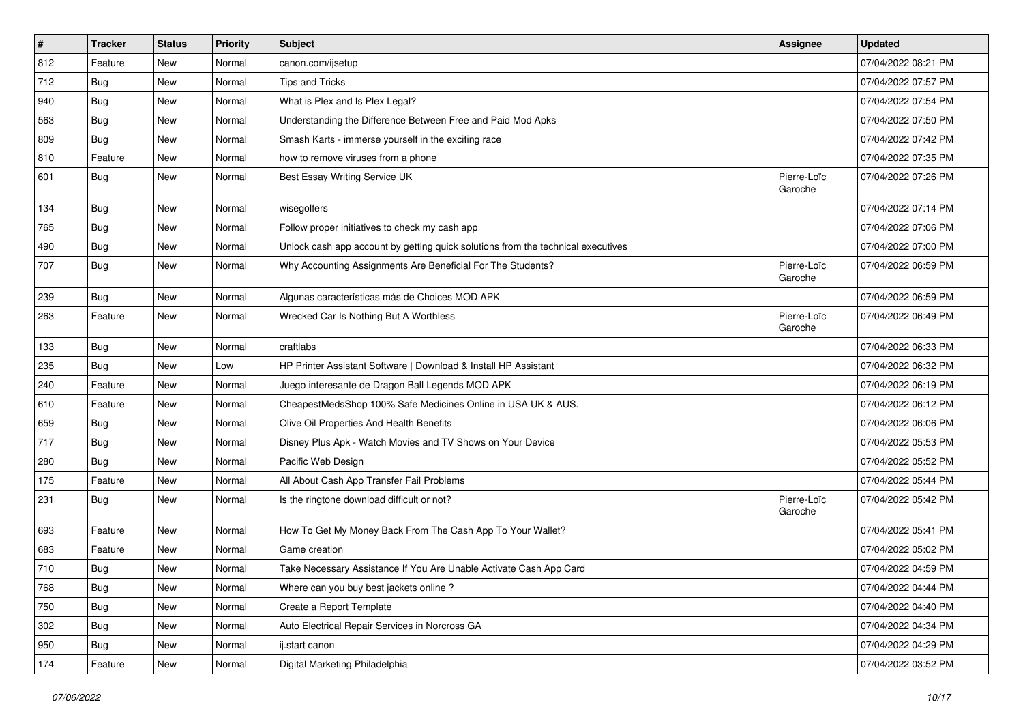| $\vert$ # | <b>Tracker</b> | <b>Status</b> | Priority | Subject                                                                          | <b>Assignee</b>        | <b>Updated</b>      |
|-----------|----------------|---------------|----------|----------------------------------------------------------------------------------|------------------------|---------------------|
| 812       | Feature        | New           | Normal   | canon.com/ijsetup                                                                |                        | 07/04/2022 08:21 PM |
| 712       | Bug            | <b>New</b>    | Normal   | <b>Tips and Tricks</b>                                                           |                        | 07/04/2022 07:57 PM |
| 940       | <b>Bug</b>     | New           | Normal   | What is Plex and Is Plex Legal?                                                  |                        | 07/04/2022 07:54 PM |
| 563       | <b>Bug</b>     | New           | Normal   | Understanding the Difference Between Free and Paid Mod Apks                      |                        | 07/04/2022 07:50 PM |
| 809       | Bug            | New           | Normal   | Smash Karts - immerse yourself in the exciting race                              |                        | 07/04/2022 07:42 PM |
| 810       | Feature        | New           | Normal   | how to remove viruses from a phone                                               |                        | 07/04/2022 07:35 PM |
| 601       | <b>Bug</b>     | New           | Normal   | Best Essay Writing Service UK                                                    | Pierre-Loïc<br>Garoche | 07/04/2022 07:26 PM |
| 134       | <b>Bug</b>     | New           | Normal   | wisegolfers                                                                      |                        | 07/04/2022 07:14 PM |
| 765       | Bug            | New           | Normal   | Follow proper initiatives to check my cash app                                   |                        | 07/04/2022 07:06 PM |
| 490       | <b>Bug</b>     | New           | Normal   | Unlock cash app account by getting quick solutions from the technical executives |                        | 07/04/2022 07:00 PM |
| 707       | <b>Bug</b>     | New           | Normal   | Why Accounting Assignments Are Beneficial For The Students?                      | Pierre-Loïc<br>Garoche | 07/04/2022 06:59 PM |
| 239       | Bug            | New           | Normal   | Algunas características más de Choices MOD APK                                   |                        | 07/04/2022 06:59 PM |
| 263       | Feature        | New           | Normal   | Wrecked Car Is Nothing But A Worthless                                           | Pierre-Loïc<br>Garoche | 07/04/2022 06:49 PM |
| 133       | Bug            | New           | Normal   | craftlabs                                                                        |                        | 07/04/2022 06:33 PM |
| 235       | Bug            | New           | Low      | HP Printer Assistant Software   Download & Install HP Assistant                  |                        | 07/04/2022 06:32 PM |
| 240       | Feature        | New           | Normal   | Juego interesante de Dragon Ball Legends MOD APK                                 |                        | 07/04/2022 06:19 PM |
| 610       | Feature        | New           | Normal   | CheapestMedsShop 100% Safe Medicines Online in USA UK & AUS.                     |                        | 07/04/2022 06:12 PM |
| 659       | Bug            | New           | Normal   | Olive Oil Properties And Health Benefits                                         |                        | 07/04/2022 06:06 PM |
| 717       | <b>Bug</b>     | New           | Normal   | Disney Plus Apk - Watch Movies and TV Shows on Your Device                       |                        | 07/04/2022 05:53 PM |
| 280       | <b>Bug</b>     | New           | Normal   | Pacific Web Design                                                               |                        | 07/04/2022 05:52 PM |
| 175       | Feature        | New           | Normal   | All About Cash App Transfer Fail Problems                                        |                        | 07/04/2022 05:44 PM |
| 231       | <b>Bug</b>     | New           | Normal   | Is the ringtone download difficult or not?                                       | Pierre-Loïc<br>Garoche | 07/04/2022 05:42 PM |
| 693       | Feature        | New           | Normal   | How To Get My Money Back From The Cash App To Your Wallet?                       |                        | 07/04/2022 05:41 PM |
| 683       | Feature        | New           | Normal   | Game creation                                                                    |                        | 07/04/2022 05:02 PM |
| 710       | <b>Bug</b>     | New           | Normal   | Take Necessary Assistance If You Are Unable Activate Cash App Card               |                        | 07/04/2022 04:59 PM |
| 768       | <b>Bug</b>     | New           | Normal   | Where can you buy best jackets online?                                           |                        | 07/04/2022 04:44 PM |
| 750       | Bug            | New           | Normal   | Create a Report Template                                                         |                        | 07/04/2022 04:40 PM |
| 302       | <b>Bug</b>     | New           | Normal   | Auto Electrical Repair Services in Norcross GA                                   |                        | 07/04/2022 04:34 PM |
| 950       | <b>Bug</b>     | New           | Normal   | ij.start canon                                                                   |                        | 07/04/2022 04:29 PM |
| 174       | Feature        | New           | Normal   | Digital Marketing Philadelphia                                                   |                        | 07/04/2022 03:52 PM |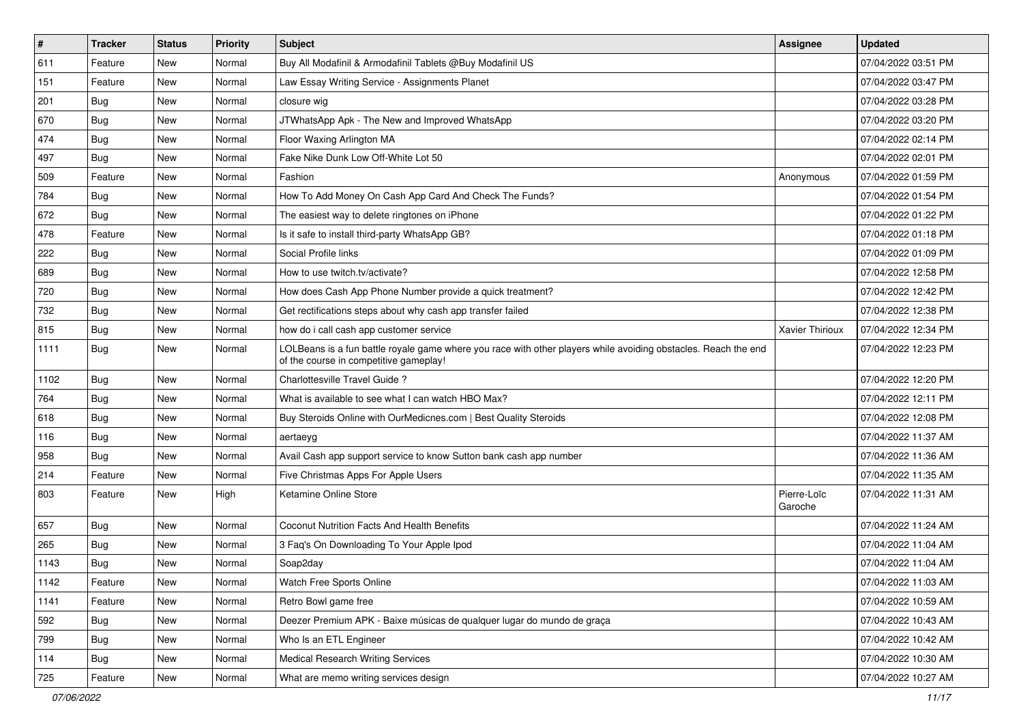| $\sharp$ | <b>Tracker</b> | <b>Status</b> | <b>Priority</b> | <b>Subject</b>                                                                                                                                           | <b>Assignee</b>        | <b>Updated</b>      |
|----------|----------------|---------------|-----------------|----------------------------------------------------------------------------------------------------------------------------------------------------------|------------------------|---------------------|
| 611      | Feature        | New           | Normal          | Buy All Modafinil & Armodafinil Tablets @Buy Modafinil US                                                                                                |                        | 07/04/2022 03:51 PM |
| 151      | Feature        | <b>New</b>    | Normal          | Law Essay Writing Service - Assignments Planet                                                                                                           |                        | 07/04/2022 03:47 PM |
| 201      | Bug            | New           | Normal          | closure wig                                                                                                                                              |                        | 07/04/2022 03:28 PM |
| 670      | Bug            | New           | Normal          | JTWhatsApp Apk - The New and Improved WhatsApp                                                                                                           |                        | 07/04/2022 03:20 PM |
| 474      | Bug            | <b>New</b>    | Normal          | Floor Waxing Arlington MA                                                                                                                                |                        | 07/04/2022 02:14 PM |
| 497      | Bug            | New           | Normal          | Fake Nike Dunk Low Off-White Lot 50                                                                                                                      |                        | 07/04/2022 02:01 PM |
| 509      | Feature        | <b>New</b>    | Normal          | Fashion                                                                                                                                                  | Anonymous              | 07/04/2022 01:59 PM |
| 784      | <b>Bug</b>     | New           | Normal          | How To Add Money On Cash App Card And Check The Funds?                                                                                                   |                        | 07/04/2022 01:54 PM |
| 672      | Bug            | <b>New</b>    | Normal          | The easiest way to delete ringtones on iPhone                                                                                                            |                        | 07/04/2022 01:22 PM |
| 478      | Feature        | New           | Normal          | Is it safe to install third-party WhatsApp GB?                                                                                                           |                        | 07/04/2022 01:18 PM |
| 222      | <b>Bug</b>     | New           | Normal          | Social Profile links                                                                                                                                     |                        | 07/04/2022 01:09 PM |
| 689      | Bug            | New           | Normal          | How to use twitch.tv/activate?                                                                                                                           |                        | 07/04/2022 12:58 PM |
| 720      | Bug            | New           | Normal          | How does Cash App Phone Number provide a quick treatment?                                                                                                |                        | 07/04/2022 12:42 PM |
| 732      | <b>Bug</b>     | New           | Normal          | Get rectifications steps about why cash app transfer failed                                                                                              |                        | 07/04/2022 12:38 PM |
| 815      | Bug            | New           | Normal          | how do i call cash app customer service                                                                                                                  | Xavier Thirioux        | 07/04/2022 12:34 PM |
| 1111     | <b>Bug</b>     | New           | Normal          | LOLBeans is a fun battle royale game where you race with other players while avoiding obstacles. Reach the end<br>of the course in competitive gameplay! |                        | 07/04/2022 12:23 PM |
| 1102     | Bug            | <b>New</b>    | Normal          | Charlottesville Travel Guide?                                                                                                                            |                        | 07/04/2022 12:20 PM |
| 764      | <b>Bug</b>     | New           | Normal          | What is available to see what I can watch HBO Max?                                                                                                       |                        | 07/04/2022 12:11 PM |
| 618      | Bug            | <b>New</b>    | Normal          | Buy Steroids Online with OurMedicnes.com   Best Quality Steroids                                                                                         |                        | 07/04/2022 12:08 PM |
| 116      | Bug            | New           | Normal          | aertaeyg                                                                                                                                                 |                        | 07/04/2022 11:37 AM |
| 958      | Bug            | <b>New</b>    | Normal          | Avail Cash app support service to know Sutton bank cash app number                                                                                       |                        | 07/04/2022 11:36 AM |
| 214      | Feature        | New           | Normal          | Five Christmas Apps For Apple Users                                                                                                                      |                        | 07/04/2022 11:35 AM |
| 803      | Feature        | New           | High            | Ketamine Online Store                                                                                                                                    | Pierre-Loïc<br>Garoche | 07/04/2022 11:31 AM |
| 657      | Bug            | <b>New</b>    | Normal          | Coconut Nutrition Facts And Health Benefits                                                                                                              |                        | 07/04/2022 11:24 AM |
| 265      | Bug            | New           | Normal          | 3 Faq's On Downloading To Your Apple Ipod                                                                                                                |                        | 07/04/2022 11:04 AM |
| 1143     | <b>Bug</b>     | New           | Normal          | Soap2day                                                                                                                                                 |                        | 07/04/2022 11:04 AM |
| 1142     | Feature        | New           | Normal          | Watch Free Sports Online                                                                                                                                 |                        | 07/04/2022 11:03 AM |
| 1141     | Feature        | New           | Normal          | Retro Bowl game free                                                                                                                                     |                        | 07/04/2022 10:59 AM |
| 592      | Bug            | New           | Normal          | Deezer Premium APK - Baixe músicas de qualquer lugar do mundo de graça                                                                                   |                        | 07/04/2022 10:43 AM |
| 799      | <b>Bug</b>     | New           | Normal          | Who Is an ETL Engineer                                                                                                                                   |                        | 07/04/2022 10:42 AM |
| 114      | <b>Bug</b>     | New           | Normal          | <b>Medical Research Writing Services</b>                                                                                                                 |                        | 07/04/2022 10:30 AM |
| 725      | Feature        | New           | Normal          | What are memo writing services design                                                                                                                    |                        | 07/04/2022 10:27 AM |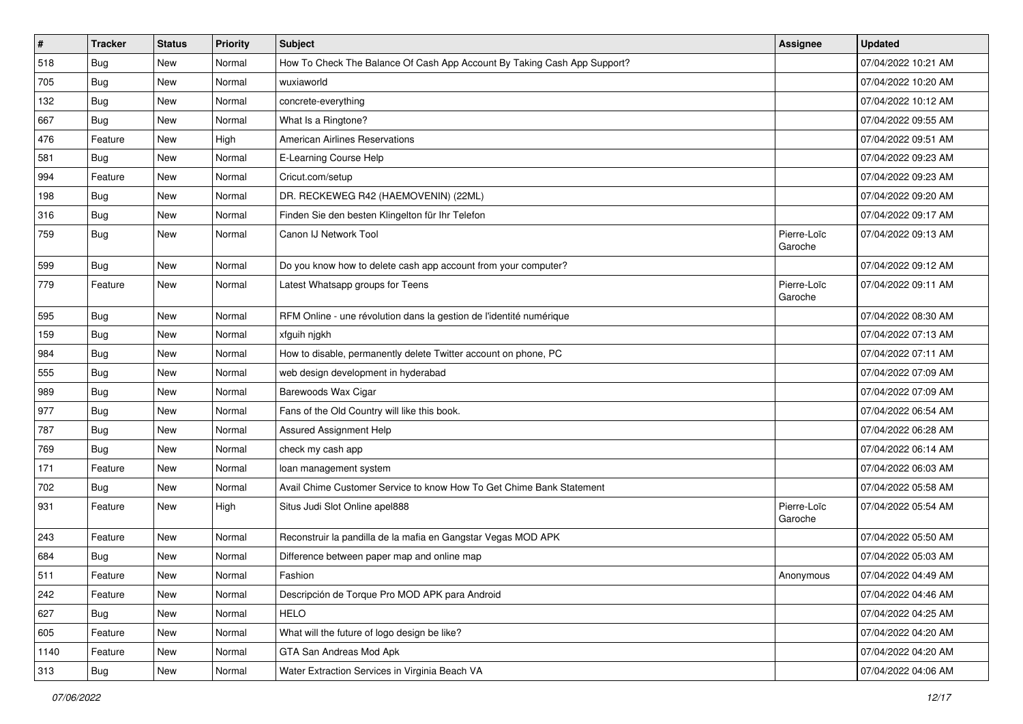| $\vert$ # | <b>Tracker</b> | <b>Status</b> | <b>Priority</b> | Subject                                                                  | <b>Assignee</b>        | <b>Updated</b>      |
|-----------|----------------|---------------|-----------------|--------------------------------------------------------------------------|------------------------|---------------------|
| 518       | <b>Bug</b>     | New           | Normal          | How To Check The Balance Of Cash App Account By Taking Cash App Support? |                        | 07/04/2022 10:21 AM |
| 705       | Bug            | New           | Normal          | wuxiaworld                                                               |                        | 07/04/2022 10:20 AM |
| 132       | Bug            | New           | Normal          | concrete-everything                                                      |                        | 07/04/2022 10:12 AM |
| 667       | Bug            | New           | Normal          | What Is a Ringtone?                                                      |                        | 07/04/2022 09:55 AM |
| 476       | Feature        | New           | High            | <b>American Airlines Reservations</b>                                    |                        | 07/04/2022 09:51 AM |
| 581       | Bug            | New           | Normal          | E-Learning Course Help                                                   |                        | 07/04/2022 09:23 AM |
| 994       | Feature        | New           | Normal          | Cricut.com/setup                                                         |                        | 07/04/2022 09:23 AM |
| 198       | Bug            | <b>New</b>    | Normal          | DR. RECKEWEG R42 (HAEMOVENIN) (22ML)                                     |                        | 07/04/2022 09:20 AM |
| 316       | <b>Bug</b>     | New           | Normal          | Finden Sie den besten Klingelton für Ihr Telefon                         |                        | 07/04/2022 09:17 AM |
| 759       | <b>Bug</b>     | New           | Normal          | Canon IJ Network Tool                                                    | Pierre-Loïc<br>Garoche | 07/04/2022 09:13 AM |
| 599       | Bug            | New           | Normal          | Do you know how to delete cash app account from your computer?           |                        | 07/04/2022 09:12 AM |
| 779       | Feature        | New           | Normal          | Latest Whatsapp groups for Teens                                         | Pierre-Loïc<br>Garoche | 07/04/2022 09:11 AM |
| 595       | Bug            | New           | Normal          | RFM Online - une révolution dans la gestion de l'identité numérique      |                        | 07/04/2022 08:30 AM |
| 159       | Bug            | <b>New</b>    | Normal          | xfguih njgkh                                                             |                        | 07/04/2022 07:13 AM |
| 984       | <b>Bug</b>     | New           | Normal          | How to disable, permanently delete Twitter account on phone, PC          |                        | 07/04/2022 07:11 AM |
| 555       | <b>Bug</b>     | New           | Normal          | web design development in hyderabad                                      |                        | 07/04/2022 07:09 AM |
| 989       | Bug            | New           | Normal          | Barewoods Wax Cigar                                                      |                        | 07/04/2022 07:09 AM |
| 977       | <b>Bug</b>     | New           | Normal          | Fans of the Old Country will like this book.                             |                        | 07/04/2022 06:54 AM |
| 787       | Bug            | New           | Normal          | <b>Assured Assignment Help</b>                                           |                        | 07/04/2022 06:28 AM |
| 769       | <b>Bug</b>     | New           | Normal          | check my cash app                                                        |                        | 07/04/2022 06:14 AM |
| 171       | Feature        | New           | Normal          | loan management system                                                   |                        | 07/04/2022 06:03 AM |
| 702       | <b>Bug</b>     | New           | Normal          | Avail Chime Customer Service to know How To Get Chime Bank Statement     |                        | 07/04/2022 05:58 AM |
| 931       | Feature        | New           | High            | Situs Judi Slot Online apel888                                           | Pierre-Loïc<br>Garoche | 07/04/2022 05:54 AM |
| 243       | Feature        | New           | Normal          | Reconstruir la pandilla de la mafia en Gangstar Vegas MOD APK            |                        | 07/04/2022 05:50 AM |
| 684       | Bug            | New           | Normal          | Difference between paper map and online map                              |                        | 07/04/2022 05:03 AM |
| 511       | Feature        | New           | Normal          | Fashion                                                                  | Anonymous              | 07/04/2022 04:49 AM |
| 242       | Feature        | New           | Normal          | Descripción de Torque Pro MOD APK para Android                           |                        | 07/04/2022 04:46 AM |
| 627       | Bug            | New           | Normal          | <b>HELO</b>                                                              |                        | 07/04/2022 04:25 AM |
| 605       | Feature        | New           | Normal          | What will the future of logo design be like?                             |                        | 07/04/2022 04:20 AM |
| 1140      | Feature        | New           | Normal          | GTA San Andreas Mod Apk                                                  |                        | 07/04/2022 04:20 AM |
| 313       | <b>Bug</b>     | New           | Normal          | Water Extraction Services in Virginia Beach VA                           |                        | 07/04/2022 04:06 AM |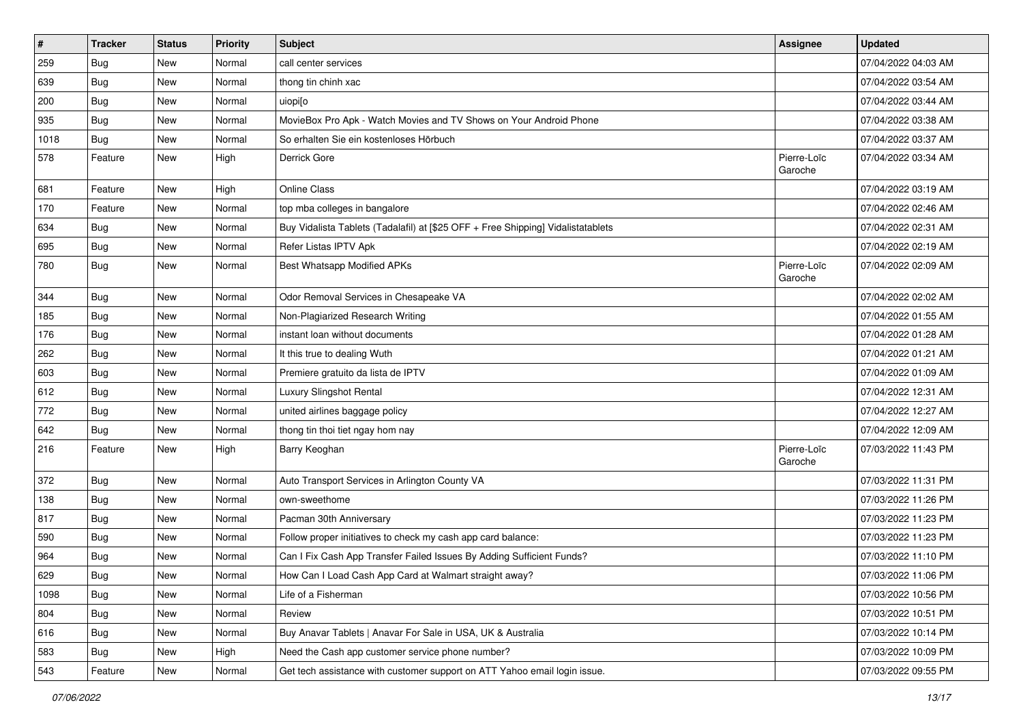| $\vert$ #     | <b>Tracker</b> | <b>Status</b> | <b>Priority</b> | Subject                                                                          | <b>Assignee</b>        | <b>Updated</b>      |
|---------------|----------------|---------------|-----------------|----------------------------------------------------------------------------------|------------------------|---------------------|
| 259           | <b>Bug</b>     | New           | Normal          | call center services                                                             |                        | 07/04/2022 04:03 AM |
| 639           | Bug            | New           | Normal          | thong tin chinh xac                                                              |                        | 07/04/2022 03:54 AM |
| 200           | <b>Bug</b>     | New           | Normal          | uiopi[o                                                                          |                        | 07/04/2022 03:44 AM |
| 935           | <b>Bug</b>     | New           | Normal          | MovieBox Pro Apk - Watch Movies and TV Shows on Your Android Phone               |                        | 07/04/2022 03:38 AM |
| 1018          | Bug            | New           | Normal          | So erhalten Sie ein kostenloses Hörbuch                                          |                        | 07/04/2022 03:37 AM |
| 578           | Feature        | New           | High            | Derrick Gore                                                                     | Pierre-Loïc<br>Garoche | 07/04/2022 03:34 AM |
| 681           | Feature        | New           | High            | <b>Online Class</b>                                                              |                        | 07/04/2022 03:19 AM |
| 170           | Feature        | New           | Normal          | top mba colleges in bangalore                                                    |                        | 07/04/2022 02:46 AM |
| 634           | <b>Bug</b>     | New           | Normal          | Buy Vidalista Tablets (Tadalafil) at [\$25 OFF + Free Shipping] Vidalistatablets |                        | 07/04/2022 02:31 AM |
| 695           | <b>Bug</b>     | New           | Normal          | Refer Listas IPTV Apk                                                            |                        | 07/04/2022 02:19 AM |
| 780           | <b>Bug</b>     | New           | Normal          | Best Whatsapp Modified APKs                                                      | Pierre-Loïc<br>Garoche | 07/04/2022 02:09 AM |
| 344           | Bug            | New           | Normal          | Odor Removal Services in Chesapeake VA                                           |                        | 07/04/2022 02:02 AM |
| 185           | Bug            | New           | Normal          | Non-Plagiarized Research Writing                                                 |                        | 07/04/2022 01:55 AM |
| 176           | <b>Bug</b>     | New           | Normal          | instant loan without documents                                                   |                        | 07/04/2022 01:28 AM |
| 262           | Bug            | New           | Normal          | It this true to dealing Wuth                                                     |                        | 07/04/2022 01:21 AM |
| 603           | Bug            | New           | Normal          | Premiere gratuito da lista de IPTV                                               |                        | 07/04/2022 01:09 AM |
| $ 612\rangle$ | <b>Bug</b>     | New           | Normal          | Luxury Slingshot Rental                                                          |                        | 07/04/2022 12:31 AM |
| 772           | Bug            | New           | Normal          | united airlines baggage policy                                                   |                        | 07/04/2022 12:27 AM |
| 642           | Bug            | New           | Normal          | thong tin thoi tiet ngay hom nay                                                 |                        | 07/04/2022 12:09 AM |
| 216           | Feature        | New           | High            | Barry Keoghan                                                                    | Pierre-Loïc<br>Garoche | 07/03/2022 11:43 PM |
| 372           | Bug            | New           | Normal          | Auto Transport Services in Arlington County VA                                   |                        | 07/03/2022 11:31 PM |
| 138           | Bug            | New           | Normal          | own-sweethome                                                                    |                        | 07/03/2022 11:26 PM |
| 817           | Bug            | New           | Normal          | Pacman 30th Anniversary                                                          |                        | 07/03/2022 11:23 PM |
| 590           | Bug            | New           | Normal          | Follow proper initiatives to check my cash app card balance:                     |                        | 07/03/2022 11:23 PM |
| 964           | <b>Bug</b>     | New           | Normal          | Can I Fix Cash App Transfer Failed Issues By Adding Sufficient Funds?            |                        | 07/03/2022 11:10 PM |
| 629           | Bug            | New           | Normal          | How Can I Load Cash App Card at Walmart straight away?                           |                        | 07/03/2022 11:06 PM |
| 1098          | <b>Bug</b>     | New           | Normal          | Life of a Fisherman                                                              |                        | 07/03/2022 10:56 PM |
| 804           | Bug            | New           | Normal          | Review                                                                           |                        | 07/03/2022 10:51 PM |
| 616           | <b>Bug</b>     | New           | Normal          | Buy Anavar Tablets   Anavar For Sale in USA, UK & Australia                      |                        | 07/03/2022 10:14 PM |
| 583           | Bug            | New           | High            | Need the Cash app customer service phone number?                                 |                        | 07/03/2022 10:09 PM |
| 543           | Feature        | New           | Normal          | Get tech assistance with customer support on ATT Yahoo email login issue.        |                        | 07/03/2022 09:55 PM |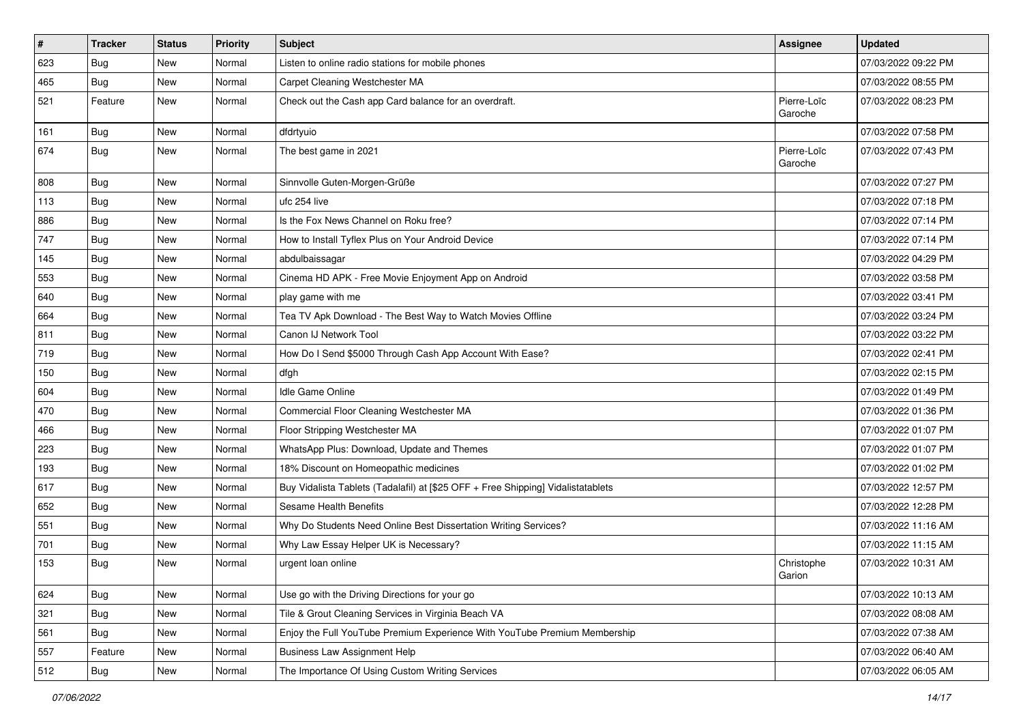| $\vert$ # | <b>Tracker</b> | <b>Status</b> | Priority | Subject                                                                          | <b>Assignee</b>        | <b>Updated</b>      |
|-----------|----------------|---------------|----------|----------------------------------------------------------------------------------|------------------------|---------------------|
| 623       | <b>Bug</b>     | New           | Normal   | Listen to online radio stations for mobile phones                                |                        | 07/03/2022 09:22 PM |
| 465       | Bug            | <b>New</b>    | Normal   | Carpet Cleaning Westchester MA                                                   |                        | 07/03/2022 08:55 PM |
| 521       | Feature        | New           | Normal   | Check out the Cash app Card balance for an overdraft.                            | Pierre-Loïc<br>Garoche | 07/03/2022 08:23 PM |
| 161       | Bug            | New           | Normal   | dfdrtyuio                                                                        |                        | 07/03/2022 07:58 PM |
| 674       | Bug            | New           | Normal   | The best game in 2021                                                            | Pierre-Loïc<br>Garoche | 07/03/2022 07:43 PM |
| 808       | Bug            | New           | Normal   | Sinnvolle Guten-Morgen-Grüße                                                     |                        | 07/03/2022 07:27 PM |
| 113       | Bug            | New           | Normal   | ufc 254 live                                                                     |                        | 07/03/2022 07:18 PM |
| 886       | Bug            | <b>New</b>    | Normal   | Is the Fox News Channel on Roku free?                                            |                        | 07/03/2022 07:14 PM |
| 747       | Bug            | New           | Normal   | How to Install Tyflex Plus on Your Android Device                                |                        | 07/03/2022 07:14 PM |
| 145       | <b>Bug</b>     | New           | Normal   | abdulbaissagar                                                                   |                        | 07/03/2022 04:29 PM |
| 553       | Bug            | New           | Normal   | Cinema HD APK - Free Movie Enjoyment App on Android                              |                        | 07/03/2022 03:58 PM |
| 640       | <b>Bug</b>     | New           | Normal   | play game with me                                                                |                        | 07/03/2022 03:41 PM |
| 664       | Bug            | New           | Normal   | Tea TV Apk Download - The Best Way to Watch Movies Offline                       |                        | 07/03/2022 03:24 PM |
| 811       | <b>Bug</b>     | New           | Normal   | Canon IJ Network Tool                                                            |                        | 07/03/2022 03:22 PM |
| 719       | Bug            | New           | Normal   | How Do I Send \$5000 Through Cash App Account With Ease?                         |                        | 07/03/2022 02:41 PM |
| 150       | Bug            | New           | Normal   | dfgh                                                                             |                        | 07/03/2022 02:15 PM |
| 604       | Bug            | New           | Normal   | <b>Idle Game Online</b>                                                          |                        | 07/03/2022 01:49 PM |
| 470       | Bug            | New           | Normal   | Commercial Floor Cleaning Westchester MA                                         |                        | 07/03/2022 01:36 PM |
| 466       | Bug            | New           | Normal   | Floor Stripping Westchester MA                                                   |                        | 07/03/2022 01:07 PM |
| 223       | <b>Bug</b>     | New           | Normal   | WhatsApp Plus: Download, Update and Themes                                       |                        | 07/03/2022 01:07 PM |
| 193       | Bug            | New           | Normal   | 18% Discount on Homeopathic medicines                                            |                        | 07/03/2022 01:02 PM |
| 617       | <b>Bug</b>     | New           | Normal   | Buy Vidalista Tablets (Tadalafil) at [\$25 OFF + Free Shipping] Vidalistatablets |                        | 07/03/2022 12:57 PM |
| 652       | <b>Bug</b>     | New           | Normal   | Sesame Health Benefits                                                           |                        | 07/03/2022 12:28 PM |
| 551       | Bug            | New           | Normal   | Why Do Students Need Online Best Dissertation Writing Services?                  |                        | 07/03/2022 11:16 AM |
| 701       | <b>Bug</b>     | New           | Normal   | Why Law Essay Helper UK is Necessary?                                            |                        | 07/03/2022 11:15 AM |
| 153       | Bug            | New           | Normal   | urgent loan online                                                               | Christophe<br>Garion   | 07/03/2022 10:31 AM |
| 624       | Bug            | New           | Normal   | Use go with the Driving Directions for your go                                   |                        | 07/03/2022 10:13 AM |
| 321       | Bug            | New           | Normal   | Tile & Grout Cleaning Services in Virginia Beach VA                              |                        | 07/03/2022 08:08 AM |
| 561       | Bug            | New           | Normal   | Enjoy the Full YouTube Premium Experience With YouTube Premium Membership        |                        | 07/03/2022 07:38 AM |
| 557       | Feature        | New           | Normal   | <b>Business Law Assignment Help</b>                                              |                        | 07/03/2022 06:40 AM |
| 512       | Bug            | New           | Normal   | The Importance Of Using Custom Writing Services                                  |                        | 07/03/2022 06:05 AM |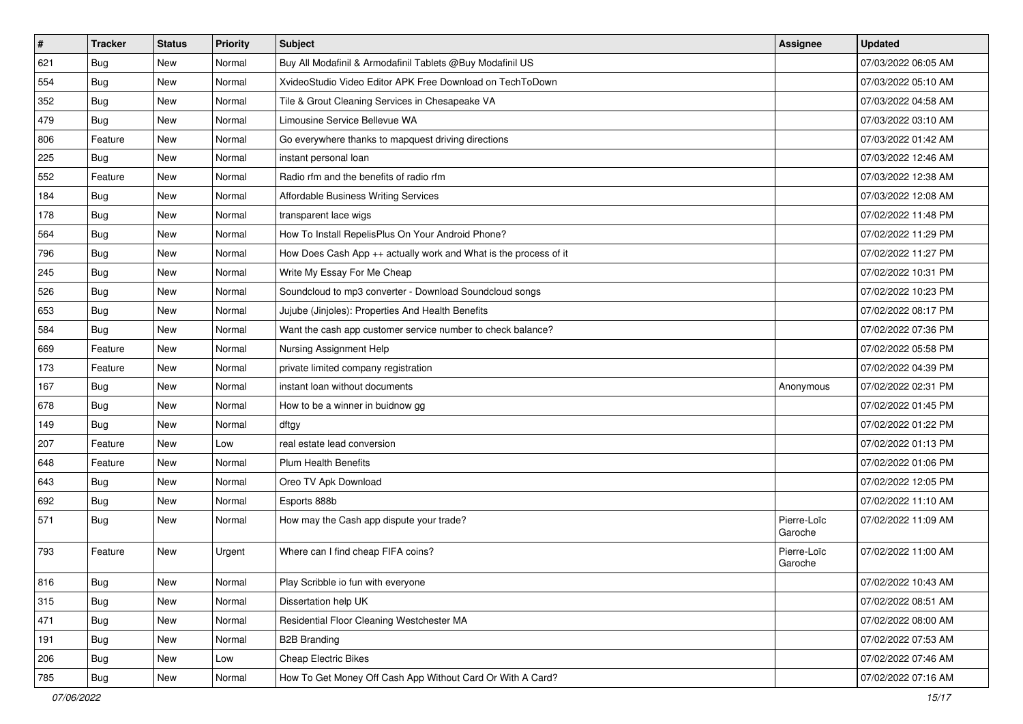| $\sharp$ | <b>Tracker</b> | <b>Status</b> | <b>Priority</b> | <b>Subject</b>                                                   | <b>Assignee</b>        | <b>Updated</b>      |
|----------|----------------|---------------|-----------------|------------------------------------------------------------------|------------------------|---------------------|
| 621      | <b>Bug</b>     | New           | Normal          | Buy All Modafinil & Armodafinil Tablets @Buy Modafinil US        |                        | 07/03/2022 06:05 AM |
| 554      | <b>Bug</b>     | New           | Normal          | XvideoStudio Video Editor APK Free Download on TechToDown        |                        | 07/03/2022 05:10 AM |
| 352      | Bug            | New           | Normal          | Tile & Grout Cleaning Services in Chesapeake VA                  |                        | 07/03/2022 04:58 AM |
| 479      | <b>Bug</b>     | New           | Normal          | Limousine Service Bellevue WA                                    |                        | 07/03/2022 03:10 AM |
| 806      | Feature        | New           | Normal          | Go everywhere thanks to mapquest driving directions              |                        | 07/03/2022 01:42 AM |
| 225      | <b>Bug</b>     | New           | Normal          | instant personal loan                                            |                        | 07/03/2022 12:46 AM |
| 552      | Feature        | New           | Normal          | Radio rfm and the benefits of radio rfm                          |                        | 07/03/2022 12:38 AM |
| 184      | <b>Bug</b>     | New           | Normal          | Affordable Business Writing Services                             |                        | 07/03/2022 12:08 AM |
| 178      | <b>Bug</b>     | New           | Normal          | transparent lace wigs                                            |                        | 07/02/2022 11:48 PM |
| 564      | Bug            | New           | Normal          | How To Install RepelisPlus On Your Android Phone?                |                        | 07/02/2022 11:29 PM |
| 796      | <b>Bug</b>     | New           | Normal          | How Does Cash App ++ actually work and What is the process of it |                        | 07/02/2022 11:27 PM |
| 245      | Bug            | New           | Normal          | Write My Essay For Me Cheap                                      |                        | 07/02/2022 10:31 PM |
| 526      | Bug            | <b>New</b>    | Normal          | Soundcloud to mp3 converter - Download Soundcloud songs          |                        | 07/02/2022 10:23 PM |
| 653      | <b>Bug</b>     | New           | Normal          | Jujube (Jinjoles): Properties And Health Benefits                |                        | 07/02/2022 08:17 PM |
| 584      | <b>Bug</b>     | <b>New</b>    | Normal          | Want the cash app customer service number to check balance?      |                        | 07/02/2022 07:36 PM |
| 669      | Feature        | New           | Normal          | Nursing Assignment Help                                          |                        | 07/02/2022 05:58 PM |
| 173      | Feature        | New           | Normal          | private limited company registration                             |                        | 07/02/2022 04:39 PM |
| 167      | Bug            | New           | Normal          | instant loan without documents                                   | Anonymous              | 07/02/2022 02:31 PM |
| 678      | Bug            | New           | Normal          | How to be a winner in buidnow gg                                 |                        | 07/02/2022 01:45 PM |
| 149      | <b>Bug</b>     | New           | Normal          | dftgy                                                            |                        | 07/02/2022 01:22 PM |
| 207      | Feature        | New           | Low             | real estate lead conversion                                      |                        | 07/02/2022 01:13 PM |
| 648      | Feature        | New           | Normal          | Plum Health Benefits                                             |                        | 07/02/2022 01:06 PM |
| 643      | Bug            | New           | Normal          | Oreo TV Apk Download                                             |                        | 07/02/2022 12:05 PM |
| 692      | <b>Bug</b>     | New           | Normal          | Esports 888b                                                     |                        | 07/02/2022 11:10 AM |
| 571      | Bug            | New           | Normal          | How may the Cash app dispute your trade?                         | Pierre-Loïc<br>Garoche | 07/02/2022 11:09 AM |
| 793      | Feature        | New           | Urgent          | Where can I find cheap FIFA coins?                               | Pierre-Loïc<br>Garoche | 07/02/2022 11:00 AM |
| 816      | Bug            | New           | Normal          | Play Scribble io fun with everyone                               |                        | 07/02/2022 10:43 AM |
| 315      | Bug            | New           | Normal          | Dissertation help UK                                             |                        | 07/02/2022 08:51 AM |
| 471      | Bug            | New           | Normal          | Residential Floor Cleaning Westchester MA                        |                        | 07/02/2022 08:00 AM |
| 191      | <b>Bug</b>     | New           | Normal          | <b>B2B Branding</b>                                              |                        | 07/02/2022 07:53 AM |
| 206      | <b>Bug</b>     | New           | Low             | Cheap Electric Bikes                                             |                        | 07/02/2022 07:46 AM |
| 785      | Bug            | New           | Normal          | How To Get Money Off Cash App Without Card Or With A Card?       |                        | 07/02/2022 07:16 AM |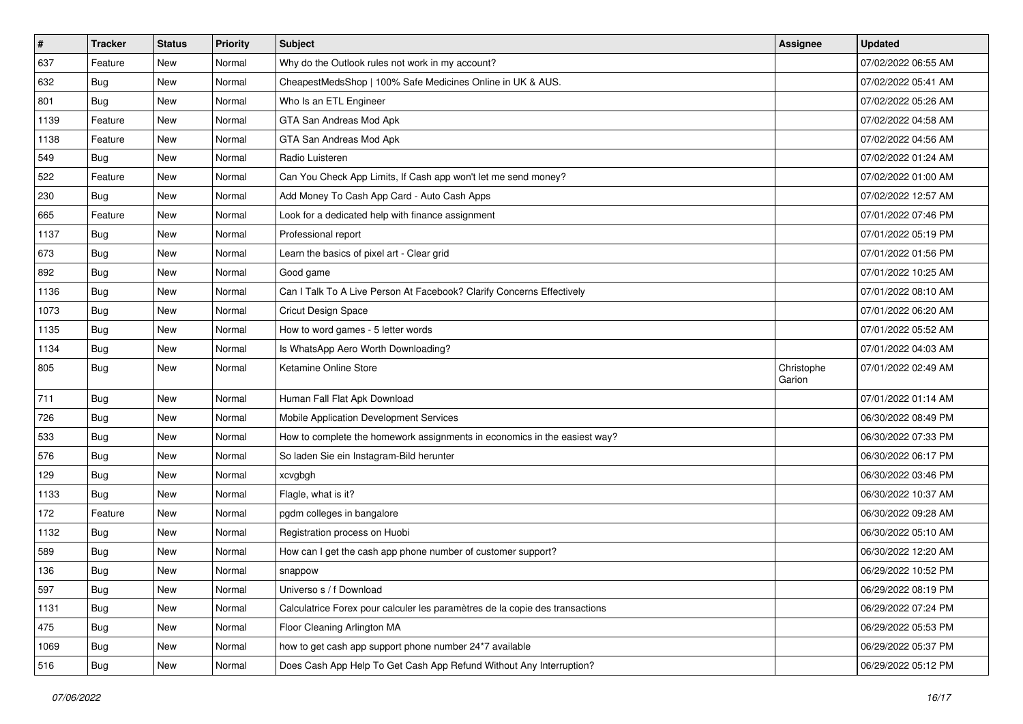| $\sharp$ | <b>Tracker</b> | <b>Status</b> | <b>Priority</b> | Subject                                                                      | <b>Assignee</b>      | <b>Updated</b>      |
|----------|----------------|---------------|-----------------|------------------------------------------------------------------------------|----------------------|---------------------|
| 637      | Feature        | New           | Normal          | Why do the Outlook rules not work in my account?                             |                      | 07/02/2022 06:55 AM |
| 632      | <b>Bug</b>     | <b>New</b>    | Normal          | CheapestMedsShop   100% Safe Medicines Online in UK & AUS.                   |                      | 07/02/2022 05:41 AM |
| 801      | Bug            | New           | Normal          | Who Is an ETL Engineer                                                       |                      | 07/02/2022 05:26 AM |
| 1139     | Feature        | New           | Normal          | GTA San Andreas Mod Apk                                                      |                      | 07/02/2022 04:58 AM |
| 1138     | Feature        | New           | Normal          | GTA San Andreas Mod Apk                                                      |                      | 07/02/2022 04:56 AM |
| 549      | Bug            | New           | Normal          | Radio Luisteren                                                              |                      | 07/02/2022 01:24 AM |
| 522      | Feature        | New           | Normal          | Can You Check App Limits, If Cash app won't let me send money?               |                      | 07/02/2022 01:00 AM |
| 230      | <b>Bug</b>     | New           | Normal          | Add Money To Cash App Card - Auto Cash Apps                                  |                      | 07/02/2022 12:57 AM |
| 665      | Feature        | <b>New</b>    | Normal          | Look for a dedicated help with finance assignment                            |                      | 07/01/2022 07:46 PM |
| 1137     | Bug            | New           | Normal          | Professional report                                                          |                      | 07/01/2022 05:19 PM |
| 673      | <b>Bug</b>     | New           | Normal          | Learn the basics of pixel art - Clear grid                                   |                      | 07/01/2022 01:56 PM |
| 892      | Bug            | New           | Normal          | Good game                                                                    |                      | 07/01/2022 10:25 AM |
| 1136     | Bug            | New           | Normal          | Can I Talk To A Live Person At Facebook? Clarify Concerns Effectively        |                      | 07/01/2022 08:10 AM |
| 1073     | <b>Bug</b>     | New           | Normal          | Cricut Design Space                                                          |                      | 07/01/2022 06:20 AM |
| 1135     | Bug            | New           | Normal          | How to word games - 5 letter words                                           |                      | 07/01/2022 05:52 AM |
| 1134     | <b>Bug</b>     | New           | Normal          | Is WhatsApp Aero Worth Downloading?                                          |                      | 07/01/2022 04:03 AM |
| 805      | <b>Bug</b>     | New           | Normal          | Ketamine Online Store                                                        | Christophe<br>Garion | 07/01/2022 02:49 AM |
| 711      | Bug            | New           | Normal          | Human Fall Flat Apk Download                                                 |                      | 07/01/2022 01:14 AM |
| 726      | Bug            | New           | Normal          | Mobile Application Development Services                                      |                      | 06/30/2022 08:49 PM |
| 533      | Bug            | New           | Normal          | How to complete the homework assignments in economics in the easiest way?    |                      | 06/30/2022 07:33 PM |
| 576      | <b>Bug</b>     | <b>New</b>    | Normal          | So laden Sie ein Instagram-Bild herunter                                     |                      | 06/30/2022 06:17 PM |
| 129      | Bug            | New           | Normal          | xcvgbgh                                                                      |                      | 06/30/2022 03:46 PM |
| 1133     | <b>Bug</b>     | New           | Normal          | Flagle, what is it?                                                          |                      | 06/30/2022 10:37 AM |
| 172      | Feature        | New           | Normal          | pgdm colleges in bangalore                                                   |                      | 06/30/2022 09:28 AM |
| 1132     | <b>Bug</b>     | New           | Normal          | Registration process on Huobi                                                |                      | 06/30/2022 05:10 AM |
| 589      | Bug            | New           | Normal          | How can I get the cash app phone number of customer support?                 |                      | 06/30/2022 12:20 AM |
| 136      | <b>Bug</b>     | New           | Normal          | snappow                                                                      |                      | 06/29/2022 10:52 PM |
| 597      | Bug            | New           | Normal          | Universo s / f Download                                                      |                      | 06/29/2022 08:19 PM |
| 1131     | <b>Bug</b>     | New           | Normal          | Calculatrice Forex pour calculer les paramètres de la copie des transactions |                      | 06/29/2022 07:24 PM |
| 475      | Bug            | New           | Normal          | Floor Cleaning Arlington MA                                                  |                      | 06/29/2022 05:53 PM |
| 1069     | <b>Bug</b>     | New           | Normal          | how to get cash app support phone number 24*7 available                      |                      | 06/29/2022 05:37 PM |
| 516      | <b>Bug</b>     | New           | Normal          | Does Cash App Help To Get Cash App Refund Without Any Interruption?          |                      | 06/29/2022 05:12 PM |